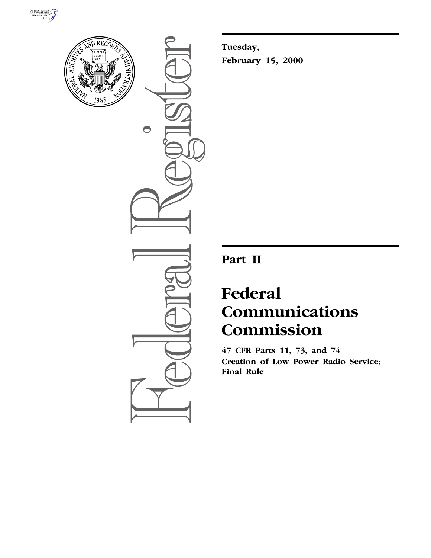



 $\bullet$ 

**Tuesday, February 15, 2000**

## **Part II**

# **Federal Communications Commission**

**47 CFR Parts 11, 73, and 74 Creation of Low Power Radio Service; Final Rule**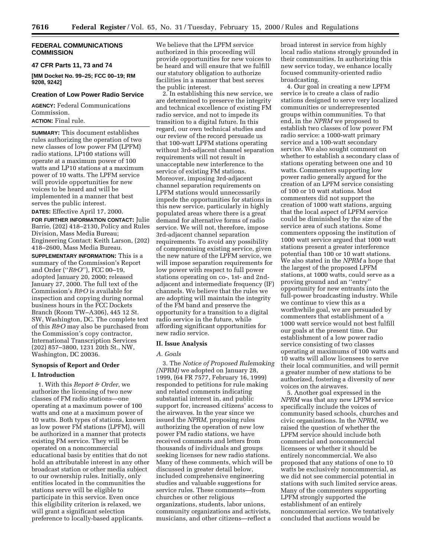## **FEDERAL COMMUNICATIONS COMMISSION**

## **47 CFR Parts 11, 73 and 74**

**[MM Docket No. 99–25; FCC 00–19; RM 9208, 9242]**

## **Creation of Low Power Radio Service**

**AGENCY:** Federal Communications Commission.

## **ACTION:** Final rule.

**SUMMARY:** This document establishes rules authorizing the operation of two new classes of low power FM (LPFM) radio stations. LP100 stations will operate at a maximum power of 100 watts and LP10 stations at a maximum power of 10 watts. The LPFM service will provide opportunities for new voices to be heard and will be implemented in a manner that best serves the public interest.

**DATES:** Effective April 17, 2000.

**FOR FURTHER INFORMATION CONTACT:** Julie Barrie, (202) 418–2130, Policy and Rules Division, Mass Media Bureau; Engineering Contact: Keith Larson, (202) 418–2600, Mass Media Bureau.

**SUPPLEMENTARY INFORMATION:** This is a summary of the Commission's Report and Order (''*R&O*''), FCC 00–19, adopted January 20, 2000; released January 27, 2000. The full text of the Commission's *R&O* is available for inspection and copying during normal business hours in the FCC Dockets Branch (Room TW–A306), 445 12 St. SW, Washington, DC. The complete text of this *R&O* may also be purchased from the Commission's copy contractor, International Transcription Services (202) 857–3800, 1231 20th St., NW, Washington, DC 20036.

## **Synopsis of Report and Order**

#### **I. Introduction**

1. With this *Report & Order*, we authorize the licensing of two new classes of FM radio stations—one operating at a maximum power of 100 watts and one at a maximum power of 10 watts. Both types of stations, known as low power FM stations (LPFM), will be authorized in a manner that protects existing FM service. They will be operated on a noncommercial educational basis by entities that do not hold an attributable interest in any other broadcast station or other media subject to our ownership rules. Initially, only entities located in the communities the stations serve will be eligible to participate in this service. Even once this eligibility criterion is relaxed, we will grant a significant selection preference to locally-based applicants.

We believe that the LPFM service authorized in this proceeding will provide opportunities for new voices to be heard and will ensure that we fulfill our statutory obligation to authorize facilities in a manner that best serves the public interest.

2. In establishing this new service, we are determined to preserve the integrity and technical excellence of existing FM radio service, and not to impede its transition to a digital future. In this regard, our own technical studies and our review of the record persuade us that 100-watt LPFM stations operating without 3rd-adjacent channel separation requirements will not result in unacceptable new interference to the service of existing FM stations. Moreover, imposing 3rd-adjacent channel separation requirements on LPFM stations would unnecessarily impede the opportunities for stations in this new service, particularly in highly populated areas where there is a great demand for alternative forms of radio service. We will not, therefore, impose 3rd-adjacent channel separation requirements. To avoid any possibility of compromising existing service, given the new nature of the LPFM service, we will impose separation requirements for low power with respect to full power stations operating on co-, 1st- and 2ndadjacent and intermediate frequency (IF) channels. We believe that the rules we are adopting will maintain the integrity of the FM band and preserve the opportunity for a transition to a digital radio service in the future, while affording significant opportunities for new radio service.

#### **II. Issue Analysis**

#### *A. Goals*

3. The *Notice of Proposed Rulemaking (NPRM)* we adopted on January 28, 1999, (64 FR 7577, February 16, 1999) responded to petitions for rule making and related comments indicating substantial interest in, and public support for, increased citizens' access to the airwaves. In the year since we issued the *NPRM,* proposing rules authorizing the operation of new low power FM radio stations, we have received comments and letters from thousands of individuals and groups seeking licenses for new radio stations. Many of these comments, which will be discussed in greater detail below, included comprehensive engineering studies and valuable suggestions for service rules. These comments—from churches or other religious organizations, students, labor unions, community organizations and activists, musicians, and other citizens—reflect a

broad interest in service from highly local radio stations strongly grounded in their communities. In authorizing this new service today, we enhance locally focused community-oriented radio broadcasting.

4. Our goal in creating a new LPFM service is to create a class of radio stations designed to serve very localized communities or underrepresented groups within communities. To that end, in the *NPRM* we proposed to establish two classes of low power FM radio service: a 1000-watt primary service and a 100-watt secondary service. We also sought comment on whether to establish a secondary class of stations operating between one and 10 watts. Commenters supporting low power radio generally argued for the creation of an LPFM service consisting of 100 or 10 watt stations. Most commenters did not support the creation of 1000 watt stations, arguing that the local aspect of LPFM service could be diminished by the size of the service area of such stations. Some commenters opposing the institution of 1000 watt service argued that 1000 watt stations present a greater interference potential than 100 or 10 watt stations. We also stated in the *NPRM* a hope that the largest of the proposed LPFM stations, at 1000 watts, could serve as a proving ground and an ''entry'' opportunity for new entrants into the full-power broadcasting industry. While we continue to view this as a worthwhile goal, we are persuaded by commenters that establishment of a 1000 watt service would not best fulfill our goals at the present time. Our establishment of a low power radio service consisting of two classes operating at maximums of 100 watts and 10 watts will allow licensees to serve their local communities, and will permit a greater number of new stations to be authorized, fostering a diversity of new voices on the airwaves.

5. Another goal expressed in the *NPRM* was that any new LPFM service specifically include the voices of community based schools, churches and civic organizations. In the *NPRM,* we raised the question of whether the LPFM service should include both commercial and noncommercial licensees or whether it should be entirely noncommercial. We also proposed that any stations of one to 10 watts be exclusively noncommercial, as we did not see commercial potential in stations with such limited service areas. Many of the commenters supporting LPFM strongly supported the establishment of an entirely noncommercial service. We tentatively concluded that auctions would be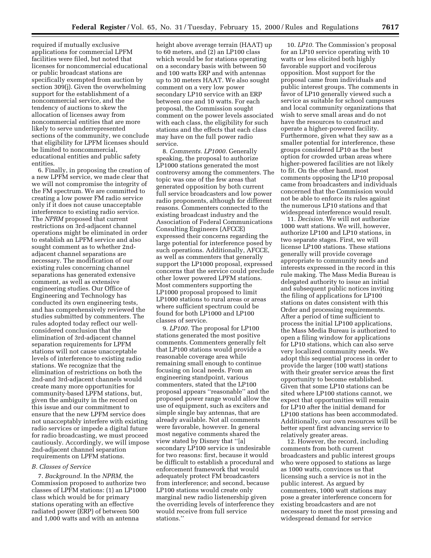required if mutually exclusive applications for commercial LPFM facilities were filed, but noted that licenses for noncommercial educational or public broadcast stations are specifically exempted from auction by section 309(j). Given the overwhelming support for the establishment of a noncommercial service, and the tendency of auctions to skew the allocation of licenses away from noncommercial entities that are more likely to serve underrepresented sections of the community, we conclude that eligibility for LPFM licenses should be limited to noncommercial, educational entities and public safety entities.

6. Finally, in proposing the creation of a new LPFM service, we made clear that we will not compromise the integrity of the FM spectrum. We are committed to creating a low power FM radio service only if it does not cause unacceptable interference to existing radio service. The *NPRM* proposed that current restrictions on 3rd-adjacent channel operations might be eliminated in order to establish an LPFM service and also sought comment as to whether 2ndadjacent channel separations are necessary. The modification of our existing rules concerning channel separations has generated extensive comment, as well as extensive engineering studies. Our Office of Engineering and Technology has conducted its own engineering tests, and has comprehensively reviewed the studies submitted by commenters. The rules adopted today reflect our wellconsidered conclusion that the elimination of 3rd-adjacent channel separation requirements for LPFM stations will not cause unacceptable levels of interference to existing radio stations. We recognize that the elimination of restrictions on both the 2nd-and 3rd-adjacent channels would create many more opportunities for community-based LPFM stations, but, given the ambiguity in the record on this issue and our commitment to ensure that the new LPFM service does not unacceptably interfere with existing radio services or impede a digital future for radio broadcasting, we must proceed cautiously. Accordingly, we will impose 2nd-adjacent channel separation requirements on LPFM stations.

#### *B. Classes of Service*

7. *Background.* In the *NPRM,* the Commission proposed to authorize two classes of LPFM stations: (1) an LP1000 class which would be for primary stations operating with an effective radiated power (ERP) of between 500 and 1,000 watts and with an antenna

height above average terrain (HAAT) up to 60 meters, and (2) an LP100 class which would be for stations operating on a secondary basis with between 50 and 100 watts ERP and with antennas up to 30 meters HAAT. We also sought comment on a very low power secondary LP10 service with an ERP between one and 10 watts. For each proposal, the Commission sought comment on the power levels associated with each class, the eligibility for such stations and the effects that each class may have on the full power radio service.

8. *Comments. LP1000.* Generally speaking, the proposal to authorize LP1000 stations generated the most controversy among the commenters. The topic was one of the few areas that generated opposition by both current full service broadcasters and low power radio proponents, although for different reasons. Commenters connected to the existing broadcast industry and the Association of Federal Communications Consulting Engineers (AFCCE) expressed their concerns regarding the large potential for interference posed by such operations. Additionally, AFCCE, as well as commenters that generally support the LP1000 proposal, expressed concerns that the service could preclude other lower powered LPFM stations. Most commenters supporting the LP1000 proposal proposed to limit LP1000 stations to rural areas or areas where sufficient spectrum could be found for both LP1000 and LP100 classes of service.

9. *LP100.* The proposal for LP100 stations generated the most positive comments. Commenters generally felt that LP100 stations would provide a reasonable coverage area while remaining small enough to continue focusing on local needs. From an engineering standpoint, various commenters, stated that the LP100 proposal appears ''reasonable'' and the proposed power range would allow the use of equipment, such as exciters and simple single bay antennas, that are already available. Not all comments were favorable, however. In general most negative comments shared the view stated by Disney that ''[a] secondary LP100 service is undesirable for two reasons: first, because it would be difficult to establish a procedural and enforcement framework that would adequately protect FM broadcasters from interference; and second, because LP100 stations would create only marginal new radio listenership given the overriding levels of interference they would receive from full service stations.''

10. *LP10.* The Commission's proposal for an LP10 service operating with 10 watts or less elicited both highly favorable support and vociferous opposition. Most support for the proposal came from individuals and public interest groups. The comments in favor of LP10 generally viewed such a service as suitable for school campuses and local community organizations that wish to serve small areas and do not have the resources to construct and operate a higher-powered facility. Furthermore, given what they saw as a smaller potential for interference, these groups considered LP10 as the best option for crowded urban areas where higher-powered facilities are not likely to fit. On the other hand, most comments opposing the LP10 proposal came from broadcasters and individuals concerned that the Commission would not be able to enforce its rules against the numerous LP10 stations and that widespread interference would result.

11. *Decision.* We will not authorize 1000 watt stations. We will, however, authorize LP100 and LP10 stations, in two separate stages. First, we will license LP100 stations. These stations generally will provide coverage appropriate to community needs and interests expressed in the record in this rule making. The Mass Media Bureau is delegated authority to issue an initial and subsequent public notices inviting the filing of applications for LP100 stations on dates consistent with this Order and processing requirements. After a period of time sufficient to process the initial LP100 applications, the Mass Media Bureau is authorized to open a filing window for applications for LP10 stations, which can also serve very localized community needs. We adopt this sequential process in order to provide the larger (100 watt) stations with their greater service areas the first opportunity to become established. Given that some LP10 stations can be sited where LP100 stations cannot, we expect that opportunities will remain for LP10 after the initial demand for LP100 stations has been accommodated. Additionally, our own resources will be better spent first advancing service to relatively greater areas.

12. However, the record, including comments from both current broadcasters and public interest groups who were opposed to stations as large as 1000 watts, convinces us that licensing such a service is not in the public interest. As argued by commenters, 1000 watt stations may pose a greater interference concern for existing broadcasters and are not necessary to meet the most pressing and widespread demand for service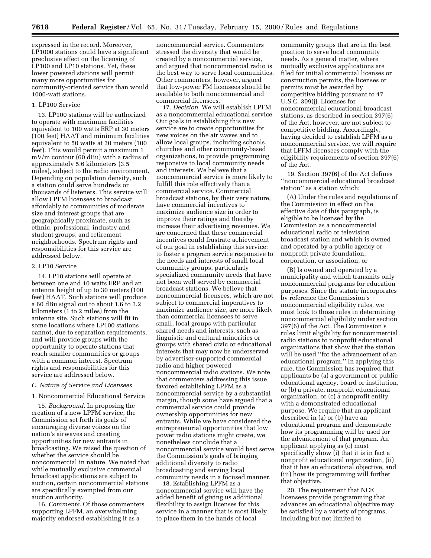expressed in the record. Moreover, LP1000 stations could have a significant preclusive effect on the licensing of LP100 and LP10 stations. Yet, these lower powered stations will permit many more opportunities for community-oriented service than would 1000-watt stations.

#### 1. LP100 Service

13. LP100 stations will be authorized to operate with maximum facilities equivalent to 100 watts ERP at 30 meters (100 feet) HAAT and minimum facilities equivalent to 50 watts at 30 meters (100 feet). This would permit a maximum 1 mV/m contour (60 dBu) with a radius of approximately 5.6 kilometers (3.5 miles), subject to the radio environment. Depending on population density, such a station could serve hundreds or thousands of listeners. This service will allow LPFM licensees to broadcast affordably to communities of moderate size and interest groups that are geographically proximate, such as ethnic, professional, industry and student groups, and retirement neighborhoods. Spectrum rights and responsibilities for this service are addressed below.

## 2. LP10 Service

14. LP10 stations will operate at between one and 10 watts ERP and an antenna height of up to 30 meters (100 feet) HAAT. Such stations will produce a 60 dBu signal out to about 1.6 to 3.2 kilometers (1 to 2 miles) from the antenna site. Such stations will fit in some locations where LP100 stations cannot, due to separation requirements, and will provide groups with the opportunity to operate stations that reach smaller communities or groups with a common interest. Spectrum rights and responsibilities for this service are addressed below.

## *C. Nature of Service and Licensees*

#### 1. Noncommercial Educational Service

15. *Background.* In proposing the creation of a new LPFM service, the Commission set forth its goals of encouraging diverse voices on the nation's airwaves and creating opportunities for new entrants in broadcasting. We raised the question of whether the service should be noncommercial in nature. We noted that while mutually exclusive commercial broadcast applications are subject to auction, certain noncommercial stations are specifically exempted from our auction authority.

16. *Comments.* Of those commenters supporting LPFM, an overwhelming majority endorsed establishing it as a

noncommercial service. Commenters stressed the diversity that would be created by a noncommercial service, and argued that noncommercial radio is the best way to serve local communities. Other commenters, however, argued that low-power FM licensees should be available to both noncommercial and commercial licensees.

17. *Decision.* We will establish LPFM as a noncommercial educational service. Our goals in establishing this new service are to create opportunities for new voices on the air waves and to allow local groups, including schools, churches and other community-based organizations, to provide programming responsive to local community needs and interests. We believe that a noncommercial service is more likely to fulfill this role effectively than a commercial service. Commercial broadcast stations, by their very nature, have commercial incentives to maximize audience size in order to improve their ratings and thereby increase their advertising revenues. We are concerned that these commercial incentives could frustrate achievement of our goal in establishing this service: to foster a program service responsive to the needs and interests of small local community groups, particularly specialized community needs that have not been well served by commercial broadcast stations. We believe that noncommercial licensees, which are not subject to commercial imperatives to maximize audience size, are more likely than commercial licensees to serve small, local groups with particular shared needs and interests, such as linguistic and cultural minorities or groups with shared civic or educational interests that may now be underserved by advertiser-supported commercial radio and higher powered noncommercial radio stations. We note that commenters addressing this issue favored establishing LPFM as a noncommercial service by a substantial margin, though some have argued that a commercial service could provide ownership opportunities for new entrants. While we have considered the entrepreneurial opportunities that low power radio stations might create, we nonetheless conclude that a noncommercial service would best serve the Commission's goals of bringing additional diversity to radio broadcasting and serving local community needs in a focused manner.

18. Establishing LPFM as a noncommercial service will have the added benefit of giving us additional flexibility to assign licenses for this service in a manner that is most likely to place them in the hands of local

community groups that are in the best position to serve local community needs. As a general matter, where mutually exclusive applications are filed for initial commercial licenses or construction permits, the licenses or permits must be awarded by competitive bidding pursuant to 47 U.S.C. 309(j). Licenses for noncommercial educational broadcast stations, as described in section 397(6) of the Act, however, are not subject to competitive bidding. Accordingly, having decided to establish LPFM as a noncommercial service, we will require that LPFM licensees comply with the eligibility requirements of section 397(6) of the Act.

19. Section 397(6) of the Act defines ''noncommercial educational broadcast station'' as a station which:

(A) Under the rules and regulations of the Commission in effect on the effective date of this paragraph, is eligible to be licensed by the Commission as a noncommercial educational radio or television broadcast station and which is owned and operated by a public agency or nonprofit private foundation, corporation, or association; or

(B) Is owned and operated by a municipality and which transmits only noncommercial programs for education purposes. Since the statute incorporates by reference the Commission's noncommercial eligibility rules, we must look to those rules in determining noncommercial eligibility under section 397(6) of the Act. The Commission's rules limit eligibility for noncommercial radio stations to nonprofit educational organizations that show that the station will be used ''for the advancement of an educational program.'' In applying this rule, the Commission has required that applicants be (a) a government or public educational agency, board or institution, or (b) a private, nonprofit educational organization, or (c) a nonprofit entity with a demonstrated educational purpose. We require that an applicant described in (a) or (b) have an educational program and demonstrate how its programming will be used for the advancement of that program. An applicant applying as (c) must specifically show (i) that it is in fact a nonprofit educational organization, (ii) that it has an educational objective, and (iii) how its programming will further that objective.

20. The requirement that NCE licensees provide programming that advances an educational objective may be satisfied by a variety of programs, including but not limited to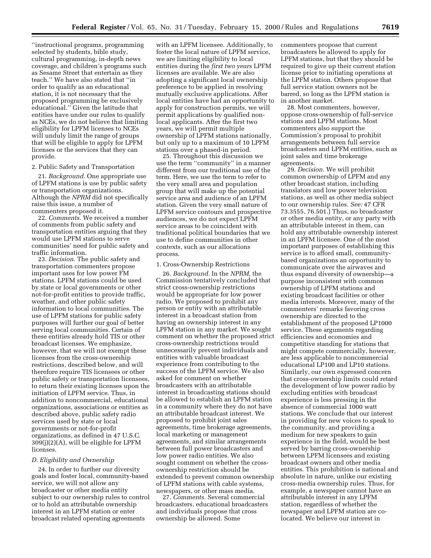''instructional programs, programming selected by students, bible study, cultural programming, in-depth news coverage, and children's programs such as Sesame Street that entertain as they teach.'' We have also stated that ''in order to qualify as an educational station, it is not necessary that the proposed programming be exclusively educational.'' Given the latitude that entities have under our rules to qualify as NCEs, we do not believe that limiting eligibility for LPFM licenses to NCEs will unduly limit the range of groups that will be eligible to apply for LPFM licenses or the services that they can provide.

#### 2. Public Safety and Transportation

21. *Background.* One appropriate use of LPFM stations is use by public safety or transportation organizations. Although the *NPRM* did not specifically raise this issue, a number of commenters proposed it.

22. *Comments.* We received a number of comments from public safety and transportation entities arguing that they would use LPFM stations to serve communities' need for public safety and traffic information.

23. *Decision.* The public safety and transportation commenters propose important uses for low power FM stations. LPFM stations could be used by state or local governments or other not-for-profit entities to provide traffic, weather, and other public safety information to local communities. The use of LPFM stations for public safety purposes will further our goal of better serving local communities. Certain of these entities already hold TIS or other broadcast licenses. We emphasize, however, that we will not exempt these licenses from the cross-ownership restrictions, described below, and will therefore require TIS licensees or other public safety or transportation licensees, to return their existing licenses upon the initiation of LPFM service. Thus, in addition to noncommercial, educational organizations, associations or entities as described above, public safety radio services used by state or local governments or not-for-profit organizations, as defined in 47 U.S.C. 309(j)(2)(A), will be eligible for LPFM licenses.

#### *D. Eligibility and Ownership*

24. In order to further our diversity goals and foster local, community-based service, we will not allow any broadcaster or other media entity subject to our ownership rules to control or to hold an attributable ownership interest in an LPFM station or enter broadcast related operating agreements

with an LPFM licensee. Additionally, to foster the local nature of LPFM service, we are limiting eligibility to local entities during the *first two years* LPFM licenses are available. We are also adopting a significant local ownership preference to be applied in resolving mutually exclusive applications. After local entities have had an opportunity to apply for construction permits, we will permit applications by qualified nonlocal applicants. After the first two years, we will permit multiple ownership of LPFM stations nationally, but only up to a maximum of 10 LPFM stations over a phased-in period.

25. Throughout this discussion we use the term ''community'' in a manner different from our traditional use of the term. Here, we use the term to refer to the very small area and population group that will make up the potential service area and audience of an LPFM station. Given the very small nature of LPFM service contours and prospective audiences, we do not expect LPFM service areas to be coincident with traditional political boundaries that we use to define communities in other contexts, such as our allocations process.

#### 1. Cross-Ownership Restrictions

26. *Background.* In the *NPRM,* the Commission tentatively concluded that strict cross-ownership restrictions would be appropriate for low power radio. We proposed to prohibit any person or entity with an attributable interest in a broadcast station from having an ownership interest in any LPFM station in any market. We sought comment on whether the proposed strict cross-ownership restrictions would unnecessarily prevent individuals and entities with valuable broadcast experience from contributing to the success of the LPFM service. We also asked for comment on whether broadcasters with an attributable interest in broadcasting stations should be allowed to establish an LPFM station in a community where they do not have an attributable broadcast interest. We proposed to prohibit joint sales agreements, time brokerage agreements, local marketing or management agreements, and similar arrangements between full power broadcasters and low power radio entities. We also sought comment on whether the crossownership restriction should be extended to prevent common ownership of LPFM stations with cable systems, newspapers, or other mass media.

27. *Comments.* Several commercial broadcasters, educational broadcasters and individuals propose that cross ownership be allowed. Some

commenters propose that current broadcasters be allowed to apply for LPFM stations, but that they should be required to give up their current station license prior to initiating operations at the LPFM station. Others propose that full service station owners not be barred, so long as the LPFM station is in another market.

28. Most commenters, however, oppose cross-ownership of full-service stations and LPFM stations. Most commenters also support the Commission's proposal to prohibit arrangements between full service broadcasters and LPFM entities, such as joint sales and time brokerage agreements.

29. *Decision.* We will prohibit common ownership of LPFM and any other broadcast station, including translators and low power television stations, as well as other media subject to our ownership rules. *See:* 47 CFR 73.3555, 76.501.) Thus, no broadcaster or other media entity, or any party with an attributable interest in them, can hold any attributable ownership interest in an LPFM licensee. One of the most important purposes of establishing this service is to afford small, communitybased organizations an opportunity to communicate over the airwaves and thus expand diversity of ownership—a purpose inconsistent with common ownership of LPFM stations and existing broadcast facilities or other media interests. Moreover, many of the commenters' remarks favoring cross ownership are directed to the establishment of the proposed LP1000 service. These arguments regarding efficiencies and economies and competitive standing for stations that might compete commercially, however, are less applicable to noncommercial educational LP100 and LP10 stations. Similarly, our own expressed concern that cross-ownership limits could retard the development of low power radio by excluding entities with broadcast experience is less pressing in the absence of commercial 1000 watt stations. We conclude that our interest in providing for new voices to speak to the community, and providing a medium for new speakers to gain experience in the field, would be best served by barring cross-ownership between LPFM licensees and existing broadcast owners and other media entities. This prohibition is national and absolute in nature, unlike our existing cross-media ownership rules. Thus, for example, a newspaper cannot have an attributable interest in any LPFM station, regardless of whether the newspaper and LPFM station are colocated. We believe our interest in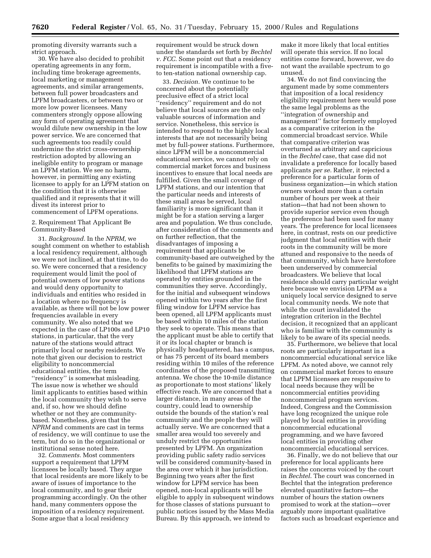promoting diversity warrants such a strict approach.

30. We have also decided to prohibit operating agreements in any form, including time brokerage agreements, local marketing or management agreements, and similar arrangements, between full power broadcasters and LPFM broadcasters, or between two or more low power licensees. Many commenters strongly oppose allowing any form of operating agreement that would dilute new ownership in the low power service. We are concerned that such agreements too readily could undermine the strict cross-ownership restriction adopted by allowing an ineligible entity to program or manage an LPFM station. We see no harm, however, in permitting any existing licensee to apply for an LPFM station on the condition that it is otherwise qualified and it represents that it will divest its interest prior to commencement of LPFM operations.

2. Requirement That Applicant Be Community-Based

31. *Background.* In the *NPRM,* we sought comment on whether to establish a local residency requirement, although we were not inclined, at that time, to do so. We were concerned that a residency requirement would limit the pool of potential owners of low power stations and would deny opportunity to individuals and entities who resided in a location where no frequency is available, as there will not be low power frequencies available in every community. We also noted that we expected in the case of LP100s and LP10 stations, in particular, that the very nature of the stations would attract primarily local or nearby residents. We note that given our decision to restrict eligibility to noncommercial educational entities, the term ''residency'' is somewhat misleading. The issue now is whether we should limit applicants to entities based within the local community they wish to serve and, if so, how we should define whether or not they are communitybased. Nonetheless, given that the *NPRM* and comments are cast in terms of residency, we will continue to use the term, but do so in the organizational or institutional sense noted here.

32. *Comments.* Most commenters support a requirement that LPFM licensees be locally based. They argue that local residents are more likely to be aware of issues of importance to the local community, and to gear their programming accordingly. On the other hand, many commenters oppose the imposition of a residency requirement. Some argue that a local residency

requirement would be struck down under the standards set forth by *Bechtel v. FCC.* Some point out that a residency requirement is incompatible with a fiveto ten-station national ownership cap.

33. *Decision.* We continue to be concerned about the potentially preclusive effect of a strict local ''residency'' requirement and do not believe that local sources are the only valuable sources of information and service. Nonetheless, this service is intended to respond to the highly local interests that are not necessarily being met by full-power stations. Furthermore, since LPFM will be a noncommercial educational service, we cannot rely on commercial market forces and business incentives to ensure that local needs are fulfilled. Given the small coverage of LPFM stations, and our intention that the particular needs and interests of these small areas be served, local familiarity is more significant than it might be for a station serving a larger area and population. We thus conclude, after consideration of the comments and on further reflection, that the disadvantages of imposing a requirement that applicants be community-based are outweighed by the benefits to be gained by maximizing the likelihood that LPFM stations are operated by entities grounded in the communities they serve. Accordingly, for the initial and subsequent windows opened within two years after the first filing window for LPFM service has been opened, all LPFM applicants must be based within 10 miles of the station they seek to operate. This means that the applicant must be able to certify that it or its local chapter or branch is physically headquartered, has a campus, or has 75 percent of its board members residing within 10 miles of the reference coordinates of the proposed transmitting antenna. We chose the 10-mile distance as proportionate to most stations' likely effective reach. We are concerned that a larger distance, in many areas of the country, could lead to ownership outside the bounds of the station's real community and the people they will actually serve. We are concerned that a smaller area would too severely and unduly restrict the opportunities presented by LPFM. An organization providing public safety radio services will be considered community-based in the area over which it has jurisdiction. Beginning two years after the first window for LPFM service has been opened, non-local applicants will be eligible to apply in subsequent windows for those classes of stations pursuant to public notices issued by the Mass Media Bureau. By this approach, we intend to

make it more likely that local entities will operate this service. If no local entities come forward, however, we do not want the available spectrum to go unused.

34. We do not find convincing the argument made by some commenters that imposition of a local residency eligibility requirement here would pose the same legal problems as the ''integration of ownership and management'' factor formerly employed as a comparative criterion in the commercial broadcast service. While that comparative criterion was overturned as arbitrary and capricious in the *Bechtel* case, that case did not invalidate a preference for locally based applicants *per se.* Rather, it rejected a preference for a particular form of business organization—in which station owners worked more than a certain number of hours per week at their station—that had not been shown to provide superior service even though the preference had been used for many years. The preference for local licensees here, in contrast, rests on our predictive judgment that local entities with their roots in the community will be more attuned and responsive to the needs of that community, which have heretofore been underserved by commercial broadcasters. We believe that local residence should carry particular weight here because we envision LPFM as a uniquely local service designed to serve local community needs. We note that while the court invalidated the integration criterion in the Bechtel decision, it recognized that an applicant who is familiar with the community is likely to be aware of its special needs.

35. Furthermore, we believe that local roots are particularly important in a noncommercial educational service like LPFM. As noted above, we cannot rely on commercial market forces to ensure that LPFM licensees are responsive to local needs because they will be noncommercial entities providing noncommercial program services. Indeed, Congress and the Commission have long recognized the unique role played by local entities in providing noncommercial educational programming, and we have favored local entities in providing other noncommercial educational services.

36. Finally, we do not believe that our preference for local applicants here raises the concerns voiced by the court in *Bechtel*. The court was concerned in Bechtel that the integration preference elevated quantitative factors—the number of hours the station owners promised to work at the station—over arguably more important qualitative factors such as broadcast experience and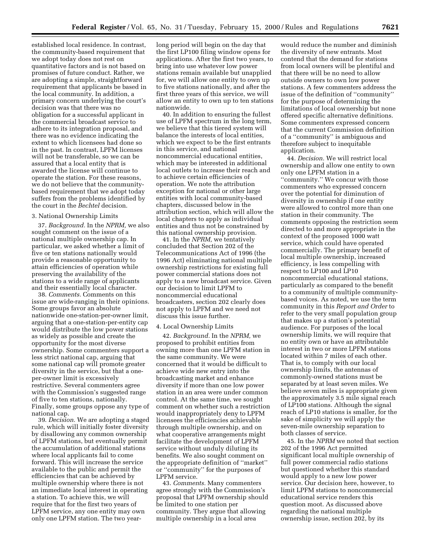established local residence. In contrast, the community-based requirement that we adopt today does not rest on quantitative factors and is not based on promises of future conduct. Rather, we are adopting a simple, straightforward requirement that applicants be based in the local community. In addition, a primary concern underlying the court's decision was that there was no obligation for a successful applicant in the commercial broadcast service to adhere to its integration proposal, and there was no evidence indicating the extent to which licensees had done so in the past. In contrast, LPFM licenses will not be transferable, so we can be assured that a local entity that is awarded the license will continue to operate the station. For these reasons, we do not believe that the communitybased requirement that we adopt today suffers from the problems identified by the court in the *Bechtel* decision.

## 3. National Ownership Limits

37. *Background.* In the *NPRM,* we also sought comment on the issue of a national multiple ownership cap. In particular, we asked whether a limit of five or ten stations nationally would provide a reasonable opportunity to attain efficiencies of operation while preserving the availability of the stations to a wide range of applicants and their essentially local character.

38. *Comments.* Comments on this issue are wide-ranging in their opinions. Some groups favor an absolute nationwide one-station-per-owner limit, arguing that a one-station-per-entity cap would distribute the low power stations as widely as possible and create the opportunity for the most diverse ownership. Some commenters support a less strict national cap, arguing that some national cap will promote greater diversity in the service, but that a oneper-owner limit is excessively restrictive. Several commenters agree with the Commission's suggested range of five to ten stations, nationally. Finally, some groups oppose any type of national cap.

39. *Decision.* We are adopting a staged rule, which will initially foster diversity by disallowing any common ownership of LPFM stations, but eventually permit the accumulation of additional stations where local applicants fail to come forward. This will increase the service available to the public and permit the efficiencies that can be achieved by multiple ownership where there is not an immediate local interest in operating a station. To achieve this, we will require that for the first two years of LPFM service, any one entity may own only one LPFM station. The two yearlong period will begin on the day that the first LP100 filing window opens for applications. After the first two years, to bring into use whatever low power stations remain available but unapplied for, we will allow one entity to own up to five stations nationally, and after the first three years of this service, we will allow an entity to own up to ten stations nationwide.

40. In addition to ensuring the fullest use of LPFM spectrum in the long term, we believe that this tiered system will balance the interests of local entities, which we expect to be the first entrants in this service, and national noncommercial educational entities, which may be interested in additional local outlets to increase their reach and to achieve certain efficiencies of operation. We note the attribution exception for national or other large entities with local community-based chapters, discussed below in the attribution section, which will allow the local chapters to apply as individual entities and thus not be constrained by this national ownership provision.

41. In the *NPRM,* we tentatively concluded that Section 202 of the Telecommunications Act of 1996 (the 1996 Act) eliminating national multiple ownership restrictions for existing full power commercial stations does not apply to a new broadcast service. Given our decision to limit LPFM to noncommercial educational broadcasters, section 202 clearly does not apply to LPFM and we need not discuss this issue further.

#### 4. Local Ownership Limits

42. *Background.* In the *NPRM,* we proposed to prohibit entities from owning more than one LPFM station in the same community. We were concerned that it would be difficult to achieve wide new entry into the broadcasting market and enhance diversity if more than one low power station in an area were under common control. At the same time, we sought comment on whether such a restriction would inappropriately deny to LPFM licensees the efficiencies achievable through multiple ownership, and on what cooperative arrangements might facilitate the development of LPFM service without unduly diluting its benefits. We also sought comment on the appropriate definition of ''market'' or ''community'' for the purposes of LPFM service.

43. *Comments.* Many commenters agree strongly with the Commission's proposal that LPFM ownership should be limited to one station per community. They argue that allowing multiple ownership in a local area

would reduce the number and diminish the diversity of new entrants. Most contend that the demand for stations from local owners will be plentiful and that there will be no need to allow outside owners to own low power stations. A few commenters address the issue of the definition of ''community'' for the purpose of determining the limitations of local ownership but none offered specific alternative definitions. Some commenters expressed concern that the current Commission definition of a ''community'' is ambiguous and therefore subject to inequitable application.

44. *Decision.* We will restrict local ownership and allow one entity to own only one LPFM station in a ''community.'' We concur with those commenters who expressed concern over the potential for diminution of diversity in ownership if one entity were allowed to control more than one station in their community. The comments opposing the restriction seem directed to and more appropriate in the context of the proposed 1000 watt service, which could have operated commercially. The primary benefit of local multiple ownership, increased efficiency, is less compelling with respect to LP100 and LP10 noncommercial educational stations, particularly as compared to the benefit to a community of multiple communitybased voices. As noted, we use the term community in this *Report and Order* to refer to the very small population group that makes up a station's potential audience. For purposes of the local ownership limits, we will require that no entity own or have an attributable interest in two or more LPFM stations located within 7 miles of each other. That is, to comply with our local ownership limits, the antennas of commonly-owned stations must be separated by at least seven miles. We believe seven miles is appropriate given the approximately 3.5 mile signal reach of LP100 stations. Although the signal reach of LP10 stations is smaller, for the sake of simplicity we will apply the seven-mile ownership separation to both classes of service.

45. In the *NPRM* we noted that section 202 of the 1996 Act permitted significant local multiple ownership of full power commercial radio stations but questioned whether this standard would apply to a new low power service. Our decision here, however, to limit LPFM stations to noncommercial educational service renders this question moot. As discussed above regarding the national multiple ownership issue, section 202, by its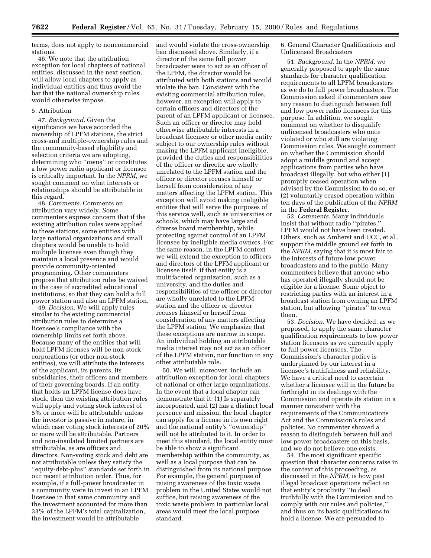terms, does not apply to noncommercial stations.

46. We note that the attribution exception for local chapters of national entities, discussed in the next section, will allow local chapters to apply as individual entities and thus avoid the bar that the national ownership rules would otherwise impose.

## 5. Attribution

47. *Background.* Given the significance we have accorded the ownership of LPFM stations, the strict cross-and multiple-ownership rules and the community-based eligibility and selection criteria we are adopting, determining who ''owns'' or constitutes a low power radio applicant or licensee is critically important. In the *NPRM*, we sought comment on what interests or relationships should be attributable in this regard.

48. *Comments.* Comments on attribution vary widely. Some commenters express concern that if the existing attribution rules were applied to these stations, some entities with large national organizations and small chapters would be unable to hold multiple licenses even though they maintain a local presence and would provide community-oriented programming. Other commenters propose that attribution rules be waived in the case of accredited educational institutions, so that they can hold a full power station and also an LPFM station.

49. *Decision.* We will apply rules similar to the existing commercial attribution rules to determine a licensee's compliance with the ownership limits set forth above. Because many of the entities that will hold LPFM licenses will be non-stock corporations (or other non-stock entities), we will attribute the interests of the applicant, its parents, its subsidiaries, their officers and members of their governing boards. If an entity that holds an LPFM license does have stock, then the existing attribution rules will apply and voting stock interest of 5% or more will be attributable unless the investor is passive in nature, in which case voting stock interests of 20% or more will be attributable. Partners and non-insulated limited partners are attributable, as are officers and directors. Non-voting stock and debt are not attributable unless they satisfy the ''equity-debt-plus'' standards set forth in our recent attribution order. Thus, for example, if a full-power broadcaster in a community were to invest in an LPFM licensee in that same community and the investment accounted for more than 33% of the LPFM's total capitalization, the investment would be attributable

and would violate the cross-ownership ban discussed above. Similarly, if a director of the same full power broadcaster were to act as an officer of the LPFM, the director would be attributed with both stations and would violate the ban. Consistent with the existing commercial attribution rules, however, an exception will apply to certain officers and directors of the parent of an LPFM applicant or licensee. Such an officer or director may hold otherwise attributable interests in a broadcast licensee or other media entity subject to our ownership rules without making the LPFM applicant ineligible, provided the duties and responsibilities of the officer or director are wholly unrelated to the LPFM station and the officer or director recuses himself or herself from consideration of any matters affecting the LPFM station. This exception will avoid making ineligible entities that will serve the purposes of this service well, such as universities or schools, which may have large and diverse board membership, while protecting against control of an LPFM licensee by ineligible media owners. For the same reason, in the LPFM context we will extend the exception to officers and directors of the LPFM applicant or licensee itself, if that entity is a multifaceted organization, such as a university, and the duties and responsibilities of the officer or director are wholly unrelated to the LPFM station and the officer or director recuses himself or herself from consideration of any matters affecting the LPFM station. We emphasize that these exceptions are narrow in scope. An individual holding an attributable media interest may not act as an officer of the LPFM station, nor function in any other attributable role.

50. We will, moreover, include an attribution exception for local chapters of national or other large organizations. In the event that a local chapter can demonstrate that it: (1) Is separately incorporated, and (2) has a distinct local presence and mission, the local chapter can apply for a license in its own right and the national entity's ''ownership'' will not be attributed to it. In order to meet this standard, the local entity must be able to show a significant membership within the community, as well as a local purpose that can be distinguished from its national purpose. For example, the general purpose of raising awareness of the toxic waste problem in the United States would not suffice, but raising awareness of the toxic waste problem in particular local areas would meet the local purpose standard.

6. General Character Qualifications and Unlicensed Broadcasters

51. *Background.* In the *NPRM*, we generally proposed to apply the same standards for character qualification requirements to all LPFM broadcasters as we do to full power broadcasters. The Commission asked if commenters saw any reason to distinguish between full and low power radio licensees for this purpose. In addition, we sought comment on whether to disqualify unlicensed broadcasters who once violated or who still are violating Commission rules. We sought comment on whether the Commission should adopt a middle ground and accept applications from parties who have broadcast illegally, but who either (1) promptly ceased operation when advised by the Commission to do so, or (2) voluntarily ceased operation within ten days of the publication of the *NPRM* in the **Federal Register**.

52. *Comments.* Many individuals insist that without radio ''pirates,'' LPFM would not have been created. Others, such as Amherst and UCC, et al., support the middle ground set forth in the *NPRM,* saying that it is most fair to the interests of future low power broadcasters and to the public. Many commenters believe that anyone who has operated illegally should not be eligible for a license. Some object to restricting parties with an interest in a broadcast station from owning an LPFM station, but allowing ''pirates'' to own them.

53. *Decision.* We have decided, as we proposed, to apply the same character qualification requirements to low power station licensees as we currently apply to full power licensees. The Commission's character policy is underpinned by our interest in a licensee's truthfulness and reliability. We have a critical need to ascertain whether a licensee will in the future be forthright in its dealings with the Commission and operate its station in a manner consistent with the requirements of the Communications Act and the Commission's rules and policies. No commenter showed a reason to distinguish between full and low power broadcasters on this basis, and we do not believe one exists.

54. The most significant specific question that character concerns raise in the context of this proceeding, as discussed in the *NPRM,* is how past illegal broadcast operations reflect on that entity's proclivity ''to deal truthfully with the Commission and to comply with our rules and policies,'' and thus on its basic qualifications to hold a license. We are persuaded to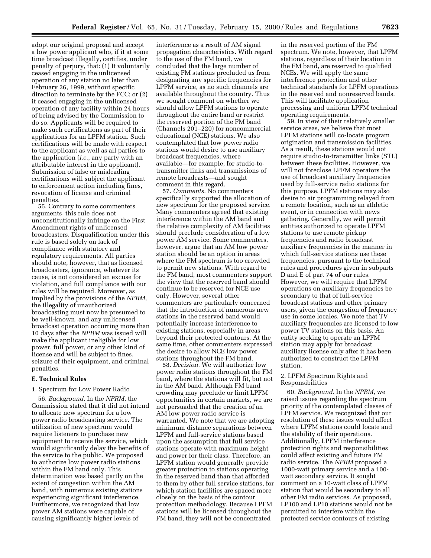adopt our original proposal and accept a low power applicant who, if it at some time broadcast illegally, certifies, under penalty of perjury, that: (1) It voluntarily ceased engaging in the unlicensed operation of any station no later than February 26, 1999, without specific direction to terminate by the FCC; or (2) it ceased engaging in the unlicensed operation of any facility within 24 hours of being advised by the Commission to do so. Applicants will be required to make such certifications as part of their applications for an LPFM station. Such certifications will be made with respect to the applicant as well as all parties to the application (*i.e.,* any party with an attributable interest in the applicant). Submission of false or misleading certifications will subject the applicant to enforcement action including fines, revocation of license and criminal penalties.

55. Contrary to some commenters arguments, this rule does not unconstitutionally infringe on the First Amendment rights of unlicensed broadcasters. Disqualification under this rule is based solely on lack of compliance with statutory and regulatory requirements. All parties should note, however, that as licensed broadcasters, ignorance, whatever its cause, is not considered an excuse for violation, and full compliance with our rules will be required. Moreover, as implied by the provisions of the *NPRM*, the illegality of unauthorized broadcasting must now be presumed to be well-known, and any unlicensed broadcast operation occurring more than 10 days after the *NPRM* was issued will make the applicant ineligible for low power, full power, or any other kind of license and will be subject to fines, seizure of their equipment, and criminal penalties.

## **E. Technical Rules**

1. Spectrum for Low Power Radio

56. *Background.* In the *NPRM*, the Commission stated that it did not intend to allocate new spectrum for a low power radio broadcasting service. The utilization of new spectrum would require listeners to purchase new equipment to receive the service, which would significantly delay the benefits of the service to the public. We proposed to authorize low power radio stations within the FM band only. This determination was based partly on the extent of congestion within the AM band, with numerous existing stations experiencing significant interference. Furthermore, we recognized that low power AM stations were capable of causing significantly higher levels of

interference as a result of AM signal propagation characteristics. With regard to the use of the FM band, we concluded that the large number of existing FM stations precluded us from designating any specific frequencies for LPFM service, as no such channels are available throughout the country. Thus we sought comment on whether we should allow LPFM stations to operate throughout the entire band or restrict the reserved portion of the FM band (Channels 201–220) for noncommercial educational (NCE) stations. We also contemplated that low power radio stations would desire to use auxiliary broadcast frequencies, where available—for example, for studio-totransmitter links and transmissions of remote broadcasts—and sought comment in this regard.

57. *Comments.* No commenters specifically supported the allocation of new spectrum for the proposed service. Many commenters agreed that existing interference within the AM band and the relative complexity of AM facilities should preclude consideration of a low power AM service. Some commenters, however, argue that an AM low power station should be an option in areas where the FM spectrum is too crowded to permit new stations. With regard to the FM band, most commenters support the view that the reserved band should continue to be reserved for NCE use only. However, several other commenters are particularly concerned that the introduction of numerous new stations in the reserved band would potentially increase interference to existing stations, especially in areas beyond their protected contours. At the same time, other commenters expressed the desire to allow NCE low power stations throughout the FM band.

58. *Decision.* We will authorize low power radio stations throughout the FM band, where the stations will fit, but not in the AM band. Although FM band crowding may preclude or limit LPFM opportunities in certain markets, we are not persuaded that the creation of an AM low power radio service is warranted. We note that we are adopting minimum distance separations between LPFM and full-service stations based upon the assumption that full service stations operate with maximum height and power for their class. Therefore, an LPFM station would generally provide greater protection to stations operating in the reserved band than that afforded to them by other full service stations, for which station facilities are spaced more closely on the basis of the contour protection methodology. Because LPFM stations will be licensed throughout the FM band, they will not be concentrated

in the reserved portion of the FM spectrum. We note, however, that LPFM stations, regardless of their location in the FM band, are reserved to qualified NCEs. We will apply the same interference protection and other technical standards for LPFM operations in the reserved and nonreserved bands. This will facilitate application processing and uniform LPFM technical operating requirements.

59. In view of their relatively smaller service areas, we believe that most LPFM stations will co-locate program origination and transmission facilities. As a result, these stations would not require studio-to-transmitter links (STL) between these facilities. However, we will not foreclose LPFM operators the use of broadcast auxiliary frequencies used by full-service radio stations for this purpose. LPFM stations may also desire to air programming relayed from a remote location, such as an athletic event, or in connection with news gathering. Generally, we will permit entities authorized to operate LPFM stations to use remote pickup frequencies and radio broadcast auxiliary frequencies in the manner in which full-service stations use these frequencies, pursuant to the technical rules and procedures given in subparts D and E of part 74 of our rules. However, we will require that LPFM operations on auxiliary frequencies be secondary to that of full-service broadcast stations and other primary users, given the congestion of frequency use in some locales. We note that TV auxiliary frequencies are licensed to low power TV stations on this basis. An entity seeking to operate an LPFM station may apply for broadcast auxiliary license only after it has been authorized to construct the LPFM station.

## 2. LPFM Spectrum Rights and Responsibilities

60. *Background.* In the *NPRM*, we raised issues regarding the spectrum priority of the contemplated classes of LPFM service. We recognized that our resolution of these issues would affect where LPFM stations could locate and the stability of their operations. Additionally, LPFM interference protection rights and responsibilities could affect existing and future FM radio service. The *NPRM* proposed a 1000-watt primary service and a 100 watt secondary service. It sought comment on a 10-watt class of LPFM station that would be secondary to all other FM radio services. As proposed, LP100 and LP10 stations would not be permitted to interfere within the protected service contours of existing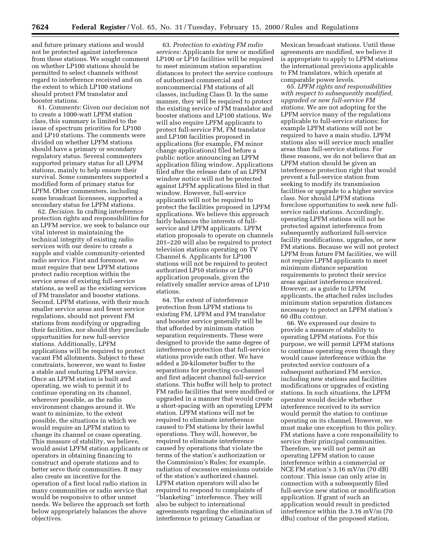and future primary stations and would not be protected against interference from these stations. We sought comment on whether LP100 stations should be permitted to select channels without regard to interference received and on the extent to which LP100 stations should protect FM translator and booster stations.

61. *Comments:* Given our decision not to create a 1000-watt LPFM station class, this summary is limited to the issue of spectrum priorities for LP100 and LP10 stations. The comments were divided on whether LPFM stations should have a primary or secondary regulatory status. Several commenters supported primary status for all LPFM stations, mainly to help ensure their survival. Some commenters supported a modified form of primary status for LPFM. Other commenters, including some broadcast licensees, supported a secondary status for LPFM stations.

62. *Decision.* In crafting interference protection rights and responsibilities for an LPFM service, we seek to balance our vital interest in maintaining the technical integrity of existing radio services with our desire to create a supple and viable community-oriented radio service. First and foremost, we must require that new LPFM stations protect radio reception within the service areas of existing full-service stations, as well as the existing services of FM translator and booster stations. Second, LPFM stations, with their much smaller service areas and fewer service regulations, should not prevent FM stations from modifying or upgrading their facilities, nor should they preclude opportunities for new full-service stations. Additionally, LPFM applications will be required to protect vacant FM allotments. Subject to these constraints, however, we want to foster a stable and enduring LPFM service. Once an LPFM station is built and operating, we wish to permit it to continue operating on its channel, wherever possible, as the radio environment changes around it. We want to minimize, to the extent possible, the situations in which we would require an LPFM station to change its channel or cease operating. This measure of stability, we believe, would assist LPFM station applicants or operators in obtaining financing to construct and operate stations and to better serve their communities. It may also create an incentive for the operation of a first local radio station in many communities or radio service that would be responsive to other unmet needs. We believe the approach set forth below appropriately balances the above objectives.

63. *Protection to existing FM radio services:* Applicants for new or modified LP100 or LP10 facilities will be required to meet minimum station separation distances to protect the service contours of authorized commercial and noncommercial FM stations of all classes, including Class D. In the same manner, they will be required to protect the existing service of FM translator and booster stations and LP100 stations. We will also require LPFM applicants to protect full-service FM, FM translator and LP100 facilities proposed in applications (for example, FM minor change applications) filed before a public notice announcing an LPFM application filing window. Applications filed after the release date of an LPFM window notice will not be protected against LPFM applications filed in that window. However, full-service applicants will not be required to protect the facilities proposed in LPFM applications. We believe this approach fairly balances the interests of fullservice and LPFM applicants. LPFM station proposals to operate on channels 201–220 will also be required to protect television stations operating on TV Channel 6. Applicants for LP100 stations will not be required to protect authorized LP10 stations or LP10 application proposals, given the relatively smaller service areas of LP10 stations.

64. The extent of interference protection from LPFM stations to existing FM, LPFM and FM translator and booster service generally will be that afforded by minimum station separation requirements. These were designed to provide the same degree of interference protection that full-service stations provide each other. We have added a 20-kilometer buffer to the separations for protecting co-channel and first adjacent channel full-service stations. This buffer will help to protect FM radio facilities that were modified or upgraded in a manner that would create a short-spacing with an operating LPFM station. LPFM stations will not be required to eliminate interference caused to FM stations by their lawful operations. They will, however, be required to eliminate interference caused by operations that violate the terms of the station's authorization or the Commission's Rules; for example, radiation of excessive emissions outside of the station's authorized channel. LPFM station operators will also be required to respond to complaints of ''blanketing'' interference. They will also be subject to international agreements regarding the elimination of interference to primary Canadian or

Mexican broadcast stations. Until these agreements are modified, we believe it is appropriate to apply to LPFM stations the international provisions applicable to FM translators, which operate at comparable power levels.

65. *LPFM rights and responsibilities with respect to subsequently modified, upgraded or new full-service FM stations.* We are not adopting for the LPFM service many of the regulations applicable to full-service stations; for example LPFM stations will not be required to have a main studio. LPFM stations also will service much smaller areas than full-service stations. For these reasons, we do not believe that an LPFM station should be given an interference protection right that would prevent a full-service station from seeking to modify its transmission facilities or upgrade to a higher service class. Nor should LPFM stations foreclose opportunities to seek new fullservice radio stations. Accordingly, operating LPFM stations will not be protected against interference from subsequently authorized full-service facility modifications, upgrades, or new FM stations. Because we will not protect LPFM from future FM facilities, we will not require LPFM applicants to meet minimum distance separation requirements to protect their service areas against interference received. However, as a guide to LPFM applicants, the attached rules includes minimum station separation distances necessary to protect an LPFM station's 60 dBu contour.

66. We expressed our desire to provide a measure of stability to operating LPFM stations. For this purpose, we will permit LPFM stations to continue operating even though they would cause interference within the protected service contours of a subsequent authorized FM service, including new stations and facilities modifications or upgrades of existing stations. In such situations, the LPFM operator would decide whether interference received to its service would permit the station to continue operating on its channel. However, we must make one exception to this policy. FM stations have a core responsibility to service their principal communities. Therefore, we will not permit an operating LPFM station to cause interference within a commercial or NCE FM station's 3.16 mV/m (70 dB) contour. This issue can only arise in connection with a subsequently filed full-service new station or modification application. If grant of such an application would result in predicted interference within the 3.16 mV/m (70 dBu) contour of the proposed station,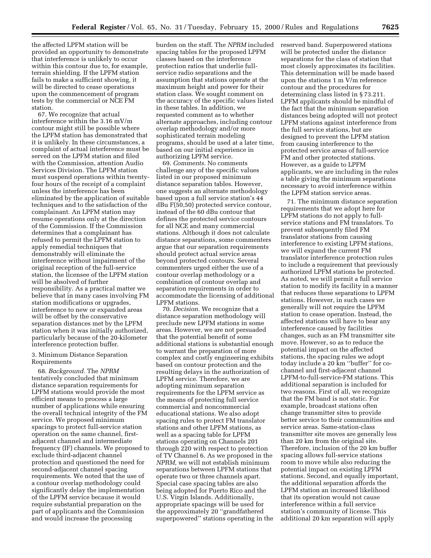the affected LPFM station will be provided an opportunity to demonstrate that interference is unlikely to occur within this contour due to, for example, terrain shielding. If the LPFM station fails to make a sufficient showing, it will be directed to cease operations upon the commencement of program tests by the commercial or NCE FM station.

67. We recognize that actual interference within the 3.16 mV/m contour might still be possible where the LPFM station has demonstrated that it is unlikely. In these circumstances, a complaint of actual interference must be served on the LPFM station and filed with the Commission, attention Audio Services Division. The LPFM station must suspend operations within twentyfour hours of the receipt of a complaint unless the interference has been eliminated by the application of suitable techniques and to the satisfaction of the complainant. An LPFM station may resume operations only at the direction of the Commission. If the Commission determines that a complainant has refused to permit the LPFM station to apply remedial techniques that demonstrably will eliminate the interference without impairment of the original reception of the full-service station, the licensee of the LPFM station will be absolved of further responsibility. As a practical matter we believe that in many cases involving FM station modifications or upgrades, interference to new or expanded areas will be offset by the conservative separation distances met by the LPFM station when it was initially authorized, particularly because of the 20-kilometer interference protection buffer.

3. Minimum Distance Separation Requirements

68. *Background.* The *NPRM* tentatively concluded that minimum distance separation requirements for LPFM stations would provide the most efficient means to process a large number of applications while ensuring the overall technical integrity of the FM service. We proposed minimum spacings to protect full-service station operation on the same channel, firstadjacent channel and intermediate frequency (IF) channels. We proposed to exclude third-adjacent channel protection and questioned the need for second-adjacent channel spacing requirements. We noted that the use of a contour overlap methodology could significantly delay the implementation of the LPFM service because it would require substantial preparation on the part of applicants and the Commission and would increase the processing

burden on the staff. The *NPRM* included spacing tables for the proposed LPFM classes based on the interference protection ratios that underlie fullservice radio separations and the assumption that stations operate at the maximum height and power for their station class. We sought comment on the accuracy of the specific values listed in these tables. In addition, we requested comment as to whether alternate approaches, including contour overlap methodology and/or more sophisticated terrain modeling programs, should be used at a later time, based on our initial experience in authorizing LPFM service.

69. *Comments.* No comments challenge any of the specific values listed in our proposed minimum distance separation tables. However, one suggests an alternate methodology based upon a full service station's 44 dBu F(50,50) protected service contour, instead of the 60 dBu contour that defines the protected service contours for all NCE and many commercial stations. Although it does not calculate distance separations, some commenters argue that our separation requirements should protect actual service areas beyond protected contours. Several commenters urged either the use of a contour overlap methodology or a combination of contour overlap and separation requirements in order to accommodate the licensing of additional LPFM stations.

70. *Decision.* We recognize that a distance separation methodology will preclude new LPFM stations in some areas. However, we are not persuaded that the potential benefit of some additional stations is substantial enough to warrant the preparation of more complex and costly engineering exhibits based on contour protection and the resulting delays in the authorization of LPFM service. Therefore, we are adopting minimum separation requirements for the LPFM service as the means of protecting full service commercial and noncommercial educational stations. We also adopt spacing rules to protect FM translator stations and other LPFM stations, as well as a spacing table for LPFM stations operating on Channels 201 through 220 with respect to protection of TV Channel 6. As we proposed in the *NPRM,* we will not establish minimum separations between LPFM stations that operate two or three channels apart. Special case spacing tables are also being adopted for Puerto Rico and the U.S. Virgin Islands. Additionally, appropriate spacings will be used for the approximately 20 ''grandfathered superpowered'' stations operating in the

reserved band. Superpowered stations will be protected under the distance separations for the class of station that most closely approximates its facilities. This determination will be made based upon the stations 1 m V/m reference contour and the procedures for determining class listed in § 73.211. LPFM applicants should be mindful of the fact that the minimum separation distances being adopted will not protect LPFM stations against interference from the full service stations, but are designed to prevent the LPFM station from causing interference to the protected service areas of full-service FM and other protected stations. However, as a guide to LPFM applicants, we are including in the rules a table giving the minimum separations necessary to avoid interference within the LPFM station service areas.

71. The minimum distance separation requirements that we adopt here for LPFM stations do not apply to fullservice stations and FM translators. To prevent subsequently filed FM translator stations from causing interference to existing LPFM stations, we will expand the current FM translator interference protection rules to include a requirement that previously authorized LPFM stations be protected. As noted, we will permit a full service station to modify its facility in a manner that reduces these separations to LPFM stations. However, in such cases we generally will not require the LPFM station to cease operation. Instead, the affected stations will have to bear any interference caused by facilities changes, such as an FM transmitter site move. However, so as to reduce the potential impact on the affected stations, the spacing rules we adopt today include a 20 km ''buffer'' for cochannel and first-adjacent channel LPFM-to-full-service-FM stations. This additional separation is included for two reasons. First of all, we recognize that the FM band is not static. For example, broadcast stations often change transmitter sites to provide better service to their communities and service areas. Same-station-class transmitter site moves are generally less than 20 km from the original site. Therefore, inclusion of the 20 km buffer spacing allows full-service stations room to move while also reducing the potential impact on existing LPFM stations. Second, and equally important, the additional separation affords the LPFM station an increased likelihood that its operation would not cause interference within a full service station's community of license. This additional 20 km separation will apply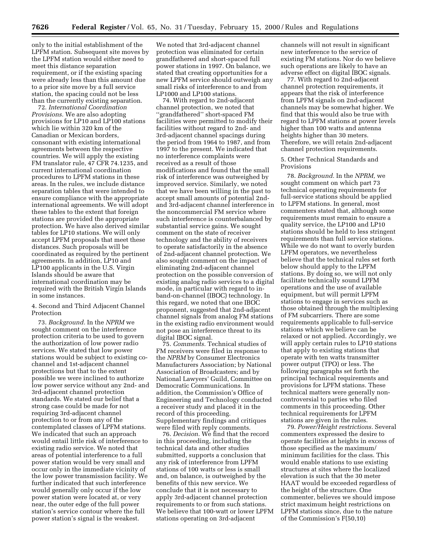only to the initial establishment of the LPFM station. Subsequent site moves by the LPFM station would either need to meet this distance separation requirement, or if the existing spacing were already less than this amount due to a prior site move by a full service station, the spacing could not be less than the currently existing separation.

72. *International Coordination Provisions.* We are also adopting provisions for LP10 and LP100 stations which lie within 320 km of the Canadian or Mexican borders, consonant with existing international agreements between the respective countries. We will apply the existing FM translator rule, 47 CFR 74.1235, and current international coordination procedures to LPFM stations in these areas. In the rules, we include distance separation tables that were intended to ensure compliance with the appropriate international agreements. We will adopt these tables to the extent that foreign stations are provided the appropriate protection. We have also derived similar tables for LP10 stations. We will only accept LPFM proposals that meet these distances. Such proposals will be coordinated as required by the pertinent agreements. In addition, LP10 and LP100 applicants in the U.S. Virgin Islands should be aware that international coordination may be required with the British Virgin Islands in some instances.

4. Second and Third Adjacent Channel Protection

73. *Background.* In the *NPRM* we sought comment on the interference protection criteria to be used to govern the authorization of low power radio services. We stated that low power stations would be subject to existing cochannel and 1st-adjacent channel protections but that to the extent possible we were inclined to authorize low power service without any 2nd- and 3rd-adjacent channel protection standards. We stated our belief that a strong case could be made for not requiring 3rd-adjacent channel protection to or from any of the contemplated classes of LPFM stations. We indicated that such an approach would entail little risk of interference to existing radio service. We noted that areas of potential interference to a full power station would be very small and occur only in the immediate vicinity of the low power transmission facility. We further indicated that such interference would generally only occur if the low power station were located at, or very near, the outer edge of the full power station's service contour where the full power station's signal is the weakest.

We noted that 3rd-adjacent channel protection was eliminated for certain grandfathered and short-spaced full power stations in 1997. On balance, we stated that creating opportunities for a new LPFM service should outweigh any small risks of interference to and from LP1000 and LP100 stations.

74. With regard to 2nd-adjacent channel protection, we noted that ''grandfathered'' short-spaced FM facilities were permitted to modify their facilities without regard to 2nd- and 3rd-adjacent channel spacings during the period from 1964 to 1987, and from 1997 to the present. We indicated that no interference complaints were received as a result of those modifications and found that the small risk of interference was outweighed by improved service. Similarly, we noted that we have been willing in the past to accept small amounts of potential 2ndand 3rd-adjacent channel interference in the noncommercial FM service where such interference is counterbalanced by substantial service gains. We sought comment on the state of receiver technology and the ability of receivers to operate satisfactorily in the absence of 2nd-adjacent channel protection. We also sought comment on the impact of eliminating 2nd-adjacent channel protection on the possible conversion of existing analog radio services to a digital mode, in particular with regard to inband-on-channel (IBOC) technology. In this regard, we noted that one IBOC proponent, suggested that 2nd-adjacent channel signals from analog FM stations in the existing radio environment would not pose an interference threat to its digital IBOC signal.

75. *Comments.* Technical studies of FM receivers were filed in response to the *NPRM* by Consumer Electronics Manufacturers Association; by National Association of Broadcasters; and by National Lawyers' Guild, Committee on Democratic Communications. In addition, the Commission's Office of Engineering and Technology conducted a receiver study and placed it in the record of this proceeding. Supplementary findings and critiques were filed with reply comments.

76. *Decision.* We find that the record in this proceeding, including the technical data and other studies submitted, supports a conclusion that any risk of interference from LPFM stations of 100 watts or less is small and, on balance, is outweighed by the benefits of this new service. We conclude that it is not necessary to apply 3rd-adjacent channel protection requirements to or from such stations. We believe that 100-watt or lower LPFM stations operating on 3rd-adjacent

channels will not result in significant new interference to the service of existing FM stations. Nor do we believe such operations are likely to have an adverse effect on digital IBOC signals.

77. With regard to 2nd-adjacent channel protection requirements, it appears that the risk of interference from LPFM signals on 2nd-adjacent channels may be somewhat higher. We find that this would also be true with regard to LPFM stations at power levels higher than 100 watts and antenna heights higher than 30 meters. Therefore, we will retain 2nd-adjacent channel protection requirements.

5. Other Technical Standards and Provisions

78. *Background.* In the *NPRM,* we sought comment on which part 73 technical operating requirements for full-service stations should be applied to LPFM stations. In general, most commenters stated that, although some requirements must remain to ensure a quality service, the LP100 and LP10 stations should be held to less stringent requirements than full service stations. While we do not want to overly burden LPFM operators, we nevertheless believe that the technical rules set forth below should apply to the LPFM stations. By doing so, we will not only facilitate technically sound LPFM operations and the use of available equipment, but will permit LPFM stations to engage in services such as those obtained through the multiplexing of FM subcarriers. There are some requirements applicable to full-service stations which we believe can be relaxed or not applied. Accordingly, we will apply certain rules to LP10 stations that apply to existing stations that operate with ten watts transmitter power output (TPO) or less. The following paragraphs set forth the principal technical requirements and provisions for LPFM stations. These technical matters were generally noncontroversial to parties who filed comments in this proceeding. Other technical requirements for LPFM stations are given in the rules.

79. *Power/Height restrictions.* Several commenters expressed the desire to operate facilities at heights in excess of those specified as the maximum/ minimum facilities for the class. This would enable stations to use existing structures at sites where the localized elevation is such that the 30 meter HAAT would be exceeded regardless of the height of the structure. One commenter, believes we should impose strict maximum height restrictions on LPFM stations since, due to the nature of the Commission's F(50,10)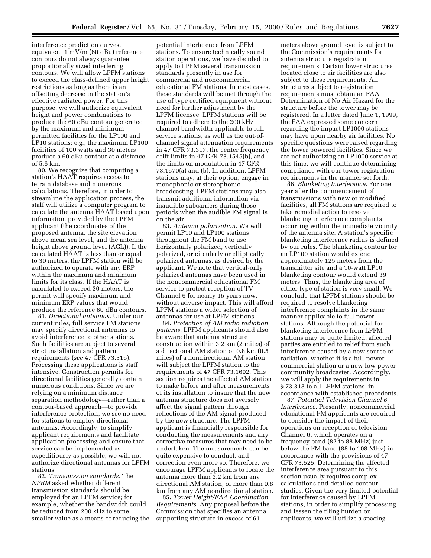interference prediction curves, equivalent 1 mV/m (60 dBu) reference contours do not always guarantee proportionally sized interfering contours. We will allow LPFM stations to exceed the class-defined upper height restrictions as long as there is an offsetting decrease in the station's effective radiated power. For this purpose, we will authorize equivalent height and power combinations to produce the 60 dBu contour generated by the maximum and minimum permitted facilities for the LP100 and LP10 stations; e.g., the maximum LP100 facilities of 100 watts and 30 meters produce a 60 dBu contour at a distance of 5.6 km.

80. We recognize that computing a station's HAAT requires access to terrain database and numerous calculations. Therefore, in order to streamline the application process, the staff will utilize a computer program to calculate the antenna HAAT based upon information provided by the LPFM applicant (the coordinates of the proposed antenna, the site elevation above mean sea level, and the antenna height above ground level (AGL)). If the calculated HAAT is less than or equal to 30 meters, the LPFM station will be authorized to operate with any ERP within the maximum and minimum limits for its class. If the HAAT is calculated to exceed 30 meters, the permit will specify maximum and minimum ERP values that would produce the reference 60 dBu contours.

81. *Directional antennas.* Under our current rules, full service FM stations may specify directional antennas to avoid interference to other stations. Such facilities are subject to several strict installation and pattern requirements (*see* 47 CFR 73.316). Processing these applications is staff intensive. Construction permits for directional facilities generally contain numerous conditions. Since we are relying on a minimum distance separation methodology—rather than a contour-based approach—to provide interference protection, we see no need for stations to employ directional antennas. Accordingly, to simplify applicant requirements and facilitate application processing and ensure that service can be implemented as expeditiously as possible, we will not authorize directional antennas for LPFM stations.

82. *Transmission standards.* The *NPRM* asked whether different transmission standards should be employed for an LPFM service; for example, whether the bandwidth could be reduced from 200 kHz to some smaller value as a means of reducing the

potential interference from LPFM stations. To ensure technically sound station operations, we have decided to apply to LPFM several transmission standards presently in use for commercial and noncommercial educational FM stations. In most cases, these standards will be met through the use of type certified equipment without need for further adjustment by the LPFM licensee. LPFM stations will be required to adhere to the 200 kHz channel bandwidth applicable to full service stations, as well as the out-ofchannel signal attenuation requirements in 47 CFR 73.317, the center frequency drift limits in 47 CFR 73.1545(b), and the limits on modulation in 47 CFR 73.1570(a) and (b). In addition, LPFM stations may, at their option, engage in monophonic or stereophonic broadcasting. LPFM stations may also transmit additional information via inaudible subcarriers during those periods when the audible FM signal is on the air.

83. *Antenna polarization.* We will permit LP10 and LP100 stations throughout the FM band to use horizontally polarized, vertically polarized, or circularly or elliptically polarized antennas, as desired by the applicant. We note that vertical-only polarized antennas have been used in the noncommercial educational FM service to protect reception of TV Channel 6 for nearly 15 years now, without adverse impact. This will afford LPFM stations a wider selection of antennas for use at LPFM stations.

84. *Protection of AM radio radiation patterns.* LPFM applicants should also be aware that antenna structure construction within 3.2 km (2 miles) of a directional AM station or 0.8 km (0.5 miles) of a nondirectional AM station will subject the LPFM station to the requirements of 47 CFR 73.1692. This section requires the affected AM station to make before and after measurements of its installation to insure that the new antenna structure does not aversely affect the signal pattern through reflections of the AM signal produced by the new structure. The LPFM applicant is financially responsible for conducting the measurements and any corrective measures that may need to be undertaken. The measurements can be quite expensive to conduct, and correction even more so. Therefore, we encourage LPFM applicants to locate the antenna more than 3.2 km from any directional AM station, or more than 0.8 km from any AM nondirectional station.

85. *Tower Height/FAA Coordination Requirements.* Any proposal before the Commission that specifies an antenna supporting structure in excess of 61

meters above ground level is subject to the Commission's requirements for antenna structure registration requirements. Certain lower structures located close to air facilities are also subject to these requirements. All structures subject to registration requirements must obtain an FAA Determination of No Air Hazard for the structure before the tower may be registered. In a letter dated June 1, 1999, the FAA expressed some concern regarding the impact LP1000 stations may have upon nearby air facilities. No specific questions were raised regarding the lower powered facilities. Since we are not authorizing an LP1000 service at this time, we will continue determining compliance with our tower registration requirements in the manner set forth.

86. *Blanketing Interference.* For one year after the commencement of transmissions with new or modified facilities, all FM stations are required to take remedial action to resolve blanketing interference complaints occurring within the immediate vicinity of the antenna site. A station's specific blanketing interference radius is defined by our rules. The blanketing contour for an LP100 station would extend approximately 125 meters from the transmitter site and a 10-watt LP10 blanketing contour would extend 39 meters. Thus, the blanketing area of either type of station is very small. We conclude that LPFM stations should be required to resolve blanketing interference complaints in the same manner applicable to full power stations. Although the potential for blanketing interference from LPFM stations may be quite limited, affected parties are entitled to relief from such interference caused by a new source of radiation, whether it is a full-power commercial station or a new low power community broadcaster. Accordingly, we will apply the requirements in § 73.318 to all LPFM stations, in accordance with established precedents.

87. *Potential Television Channel 6 Interference.* Presently, noncommercial educational FM applicants are required to consider the impact of their operations on reception of television Channel 6, which operates on a frequency band (82 to 88 MHz) just below the FM band (88 to 108 MHz) in accordance with the provisions of 47 CFR 73.525. Determining the affected interference area pursuant to this section usually requires complex calculations and detailed contour studies. Given the very limited potential for interference caused by LPFM stations, in order to simplify processing and lessen the filing burden on applicants, we will utilize a spacing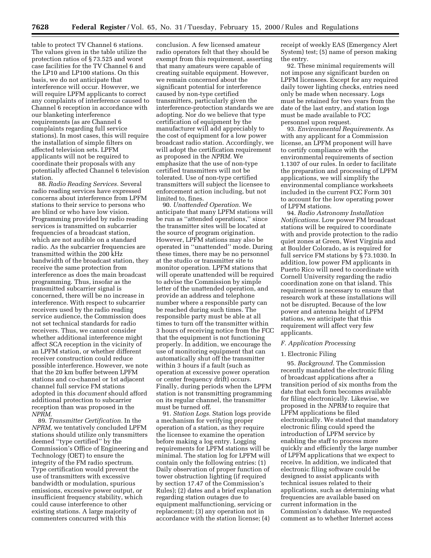table to protect TV Channel 6 stations. The values given in the table utilize the protection ratios of § 73.525 and worst case facilities for the TV Channel 6 and the LP10 and LP100 stations. On this basis, we do not anticipate that interference will occur. However, we will require LPFM applicants to correct any complaints of interference caused to Channel 6 reception in accordance with our blanketing interference requirements (as are Channel 6 complaints regarding full service stations). In most cases, this will require the installation of simple filters on affected television sets. LPFM applicants will not be required to coordinate their proposals with any potentially affected Channel 6 television station.

88. *Radio Reading Services.* Several radio reading services have expressed concerns about interference from LPFM stations to their service to persons who are blind or who have low vision. Programming provided by radio reading services is transmitted on subcarrier frequencies of a broadcast station, which are not audible on a standard radio. As the subcarrier frequencies are transmitted within the 200 kHz bandwidth of the broadcast station, they receive the same protection from interference as does the main broadcast programming. Thus, insofar as the transmitted subcarrier signal is concerned, there will be no increase in interference. With respect to subcarrier receivers used by the radio reading service audience, the Commission does not set technical standards for radio receivers. Thus, we cannot consider whether additional interference might affect SCA reception in the vicinity of an LPFM station, or whether different receiver construction could reduce possible interference. However, we note that the 20 km buffer between LPFM stations and co-channel or 1st adjacent channel full service FM stations adopted in this *document* should afford additional protection to subcarrier reception than was proposed in the *NPRM.*

89. *Transmitter Certification.* In the *NPRM,* we tentatively concluded LPFM stations should utilize only transmitters deemed ''type certified'' by the Commission's Office of Engineering and Technology (OET) to ensure the integrity of the FM radio spectrum. Type certification would prevent the use of transmitters with excessive bandwidth or modulation, spurious emissions, excessive power output, or insufficient frequency stability, which could cause interference to other existing stations. A large majority of commenters concurred with this

conclusion. A few licensed amateur radio operators felt that they should be exempt from this requirement, asserting that many amateurs were capable of creating suitable equipment. However, we remain concerned about the significant potential for interference caused by non-type certified transmitters, particularly given the interference-protection standards we are adopting. Nor do we believe that type certification of equipment by the manufacturer will add appreciably to the cost of equipment for a low power broadcast radio station. Accordingly, we will adopt the certification requirement as proposed in the *NPRM.* We emphasize that the use of non-type certified transmitters will not be tolerated. Use of non-type certified transmitters will subject the licensee to enforcement action including, but not limited to, fines.

90. *Unattended Operation.* We anticipate that many LPFM stations will be run as ''attended operations,'' since the transmitter sites will be located at the source of program origination. However, LPFM stations may also be operated in ''unattended'' mode. During these times, there may be no personnel at the studio or transmitter site to monitor operation. LPFM stations that will operate unattended will be required to advise the Commission by simple letter of the unattended operation, and provide an address and telephone number where a responsible party can be reached during such times. The responsible party must be able at all times to turn off the transmitter within 3 hours of receiving notice from the FCC that the equipment is not functioning properly. In addition, we encourage the use of monitoring equipment that can automatically shut off the transmitter within 3 hours if a fault (such as operation at excessive power operation or center frequency drift) occurs. Finally, during periods when the LPFM station is not transmitting programming on its regular channel, the transmitter must be turned off.

91. *Station Logs.* Station logs provide a mechanism for verifying proper operation of a station, as they require the licensee to examine the operation before making a log entry. Logging requirements for LPFM stations will be minimal. The station log for LPFM will contain only the following entries: (1) Daily observation of proper function of tower obstruction lighting (if required by section 17.47 of the Commission's Rules); (2) dates and a brief explanation regarding station outages due to equipment malfunctioning, servicing or replacement; (3) any operation not in accordance with the station license; (4)

receipt of weekly EAS (Emergency Alert System) test; (5) name of person making the entry.

92. These minimal requirements will not impose any significant burden on LPFM licensees. Except for any required daily tower lighting checks, entries need only be made when necessary. Logs must be retained for two years from the date of the last entry, and station logs must be made available to FCC personnel upon request.

93. *Environmental Requirements.* As with any applicant for a Commission license, an LPFM proponent will have to certify compliance with the environmental requirements of section 1.1307 of our rules. In order to facilitate the preparation and processing of LPFM applications, we will simplify the environmental compliance worksheets included in the current FCC Form 301 to account for the low operating power of LPFM stations.

94. *Radio Astronomy Installation Notifications.* Low power FM broadcast stations will be required to coordinate with and provide protection to the radio quiet zones at Green, West Virginia and at Boulder Colorado, as is required for full service FM stations by § 73.1030. In addition, low power FM applicants in Puerto Rico will need to coordinate with Cornell University regarding the radio coordination zone on that island. This requirement is necessary to ensure that research work at these installations will not be disrupted. Because of the low power and antenna height of LPFM stations, we anticipate that this requirement will affect very few applicants.

## *F. Application Processing*

#### 1. Electronic Filing

95. *Background.* The Commission recently mandated the electronic filing of broadcast applications after a transition period of six months from the date that each form becomes available for filing electronically. Likewise, we proposed in the *NPRM* to require that LPFM applications be filed electronically. We stated that mandatory electronic filing could speed the introduction of LPFM service by enabling the staff to process more quickly and efficiently the large number of LPFM applications that we expect to receive. In addition, we indicated that electronic filing software could be designed to assist applicants with technical issues related to their applications, such as determining what frequencies are available based on current information in the Commission's database. We requested comment as to whether Internet access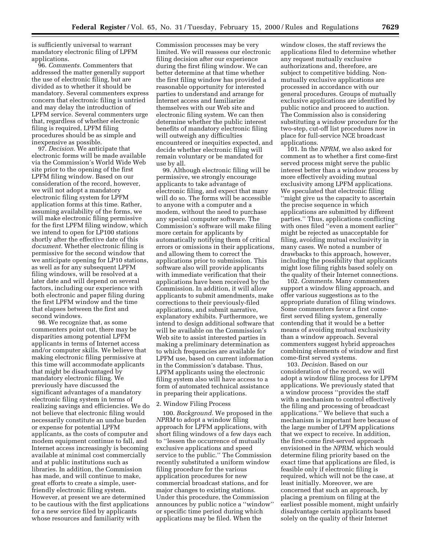is sufficiently universal to warrant mandatory electronic filing of LPFM applications.

96. *Comments.* Commenters that addressed the matter generally support the use of electronic filing, but are divided as to whether it should be mandatory. Several commenters express concern that electronic filing is untried and may delay the introduction of LPFM service. Several commenters urge that, regardless of whether electronic filing is required, LPFM filing procedures should be as simple and inexpensive as possible.

97. *Decision.* We anticipate that electronic forms will be made available via the Commission's World Wide Web site prior to the opening of the first LPFM filing window. Based on our consideration of the record, however, we will not adopt a mandatory electronic filing system for LPFM application forms at this time. Rather, assuming availability of the forms, we will make electronic filing permissive for the first LPFM filing window, which we intend to open for LP100 stations shortly after the effective date of this *document.* Whether electronic filing is permissive for the second window that we anticipate opening for LP10 stations, as well as for any subsequent LPFM filing windows, will be resolved at a later date and will depend on several factors, including our experience with both electronic and paper filing during the first LPFM window and the time that elapses between the first and second windows.

98. We recognize that, as some commenters point out, there may be disparities among potential LPFM applicants in terms of Internet access and/or computer skills. We believe that making electronic filing permissive at this time will accommodate applicants that might be disadvantaged by mandatory electronic filing. We previously have discussed the significant advantages of a mandatory electronic filing system in terms of realizing savings and efficiencies. We do not believe that electronic filing would necessarily constitute an undue burden or expense for potential LPFM applicants, as the costs of computer and modem equipment continue to fall, and Internet access increasingly is becoming available at minimal cost commercially and at public institutions such as libraries. In addition, the Commission has made, and will continue to make, great efforts to create a simple, userfriendly electronic filing system. However, at present we are determined to be cautious with the first applications for a new service filed by applicants whose resources and familiarity with

Commission processes may be very limited. We will reassess our electronic filing decision after our experience during the first filing window. We can better determine at that time whether the first filing window has provided a reasonable opportunity for interested parties to understand and arrange for Internet access and familiarize themselves with our Web site and electronic filing system. We can then determine whether the public interest benefits of mandatory electronic filing will outweigh any difficulties encountered or inequities expected, and decide whether electronic filing will remain voluntary or be mandated for use by all.

99. Although electronic filing will be permissive, we strongly encourage applicants to take advantage of electronic filing, and expect that many will do so. The forms will be accessible to anyone with a computer and a modem, without the need to purchase any special computer software. The Commission's software will make filing more certain for applicants by automatically notifying them of critical errors or omissions in their applications, and allowing them to correct the applications prior to submission. This software also will provide applicants with immediate verification that their applications have been received by the Commission. In addition, it will allow applicants to submit amendments, make corrections to their previously-filed applications, and submit narrative, explanatory exhibits. Furthermore, we intend to design additional software that will be available on the Commission's Web site to assist interested parties in making a preliminary determination as to which frequencies are available for LPFM use, based on current information in the Commission's database. Thus, LPFM applicants using the electronic filing system also will have access to a form of automated technical assistance in preparing their applications.

## 2. Window Filing Process

100. *Background.* We proposed in the *NPRM* to adopt a window filing approach for LPFM applications, with short filing windows of a few days each to ''lessen the occurrence of mutually exclusive applications and speed service to the public.'' The Commission recently substituted a uniform window filing procedure for the various application procedures for new commercial broadcast stations, and for major changes to existing stations. Under this procedure, the Commission announces by public notice a ''window'' or specific time period during which applications may be filed. When the

window closes, the staff reviews the applications filed to determine whether any request mutually exclusive authorizations and, therefore, are subject to competitive bidding. Nonmutually exclusive applications are processed in accordance with our general procedures. Groups of mutually exclusive applications are identified by public notice and proceed to auction. The Commission also is considering substituting a window procedure for the two-step, cut-off list procedures now in place for full-service NCE broadcast applications.

101. In the *NPRM,* we also asked for comment as to whether a first come-first served process might serve the public interest better than a window process by more effectively avoiding mutual exclusivity among LPFM applications. We speculated that electronic filing ''might give us the capacity to ascertain the precise sequence in which applications are submitted by different parties.'' Thus, applications conflicting with ones filed ''even a moment earlier'' might be rejected as unacceptable for filing, avoiding mutual exclusivity in many cases. We noted a number of drawbacks to this approach, however, including the possibility that applicants might lose filing rights based solely on the quality of their Internet connections.

102. *Comments.* Many commenters support a window filing approach, and offer various suggestions as to the appropriate duration of filing windows. Some commenters favor a first comefirst served filing system, generally contending that it would be a better means of avoiding mutual exclusivity than a window approach. Several commenters suggest hybrid approaches combining elements of window and first come-first served systems.

103. *Decision.* Based on our consideration of the record, we will adopt a window filing process for LPFM applications. We previously stated that a window process ''provides the staff with a mechanism to control effectively the filing and processing of broadcast applications.'' We believe that such a mechanism is important here because of the large number of LPFM applications that we expect to receive. In addition, the first-come first-served approach envisioned in the *NPRM,* which would determine filing priority based on the exact time that applications are filed, is feasible only if electronic filing is required, which will not be the case, at least initially. Moreover, we are concerned that such an approach, by placing a premium on filing at the earliest possible moment, might unfairly disadvantage certain applicants based solely on the quality of their Internet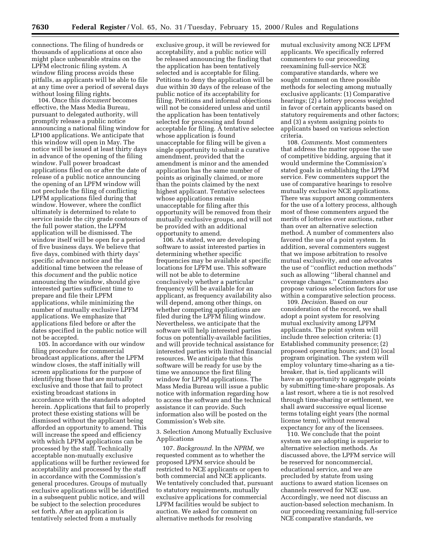connections. The filing of hundreds or thousands of applications at once also might place unbearable strains on the LPFM electronic filing system. A window filing process avoids these pitfalls, as applicants will be able to file at any time over a period of several days without losing filing rights.

104. Once this *document* becomes effective, the Mass Media Bureau, pursuant to delegated authority, will promptly release a public notice announcing a national filing window for LP100 applications. We anticipate that this window will open in May. The notice will be issued at least thirty days in advance of the opening of the filing window. Full power broadcast applications filed on or after the date of release of a public notice announcing the opening of an LPFM window will not preclude the filing of conflicting LPFM applications filed during that window. However, where the conflict ultimately is determined to relate to service inside the city grade contours of the full power station, the LPFM application will be dismissed. The window itself will be open for a period of five business days. We believe that five days, combined with thirty days' specific advance notice and the additional time between the release of this *document* and the public notice announcing the window, should give interested parties sufficient time to prepare and file their LPFM applications, while minimizing the number of mutually exclusive LPFM applications. We emphasize that applications filed before or after the dates specified in the public notice will not be accepted.

105. In accordance with our window filing procedure for commercial broadcast applications, after the LPFM window closes, the staff initially will screen applications for the purpose of identifying those that are mutually exclusive and those that fail to protect existing broadcast stations in accordance with the standards adopted herein. Applications that fail to properly protect these existing stations will be dismissed without the applicant being afforded an opportunity to amend. This will increase the speed and efficiency with which LPFM applications can be processed by the staff. Technically acceptable non-mutually exclusive applications will be further reviewed for acceptability and processed by the staff in accordance with the Commission's general procedures. Groups of mutually exclusive applications will be identified in a subsequent public notice, and will be subject to the selection procedures set forth. After an application is tentatively selected from a mutually

exclusive group, it will be reviewed for acceptability, and a public notice will be released announcing the finding that the application has been tentatively selected and is acceptable for filing. Petitions to deny the application will be due within 30 days of the release of the public notice of its acceptability for filing. Petitions and informal objections will not be considered unless and until the application has been tentatively selected for processing and found acceptable for filing. A tentative selectee whose application is found unacceptable for filing will be given a single opportunity to submit a curative amendment, provided that the amendment is minor and the amended application has the same number of points as originally claimed, or more than the points claimed by the next highest applicant. Tentative selectees whose applications remain unacceptable for filing after this opportunity will be removed from their mutually exclusive groups, and will not be provided with an additional opportunity to amend.

106. As stated, we are developing software to assist interested parties in determining whether specific frequencies may be available at specific locations for LPFM use. This software will not be able to determine conclusively whether a particular frequency will be available for an applicant, as frequency availability also will depend, among other things, on whether competing applications are filed during the LPFM filing window. Nevertheless, we anticipate that the software will help interested parties focus on potentially-available facilities, and will provide technical assistance for interested parties with limited financial resources. We anticipate that this software will be ready for use by the time we announce the first filing window for LPFM applications. The Mass Media Bureau will issue a public notice with information regarding how to access the software and the technical assistance it can provide. Such information also will be posted on the Commission's Web site.

3. Selection Among Mutually Exclusive Applications

107. *Background.* In the *NPRM,* we requested comment as to whether the proposed LPFM service should be restricted to NCE applicants or open to both commercial and NCE applicants. We tentatively concluded that, pursuant to statutory requirements, mutually exclusive applications for commercial LPFM facilities would be subject to auction. We asked for comment on alternative methods for resolving

mutual exclusivity among NCE LPFM applicants. We specifically referred commenters to our proceeding reexamining full-service NCE comparative standards, where we sought comment on three possible methods for selecting among mutually exclusive applicants: (1) Comparative hearings; (2) a lottery process weighted in favor of certain applicants based on statutory requirements and other factors; and (3) a system assigning points to applicants based on various selection criteria.

108. *Comments.* Most commenters that address the matter oppose the use of competitive bidding, arguing that it would undermine the Commission's stated goals in establishing the LPFM service. Few commenters support the use of comparative hearings to resolve mutually exclusive NCE applications. There was support among commenters for the use of a lottery process, although most of these commenters argued the merits of lotteries over auctions, rather than over an alternative selection method. A number of commenters also favored the use of a point system. In addition, several commenters suggest that we impose arbitration to resolve mutual exclusivity, and one advocates the use of ''conflict reduction methods'' such as allowing ''liberal channel and coverage changes.'' Commenters also propose various selection factors for use within a comparative selection process.

109. *Decision.* Based on our consideration of the record, we shall adopt a point system for resolving mutual exclusivity among LPFM applicants. The point system will include three selection criteria: (1) Established community presence; (2) proposed operating hours; and (3) local program origination. The system will employ voluntary time-sharing as a tiebreaker, that is, tied applicants will have an opportunity to aggregate points by submitting time-share proposals. As a last resort, where a tie is not resolved through time-sharing or settlement, we shall award successive equal license terms totaling eight years (the normal license term), without renewal expectancy for any of the licensees.

110. We conclude that the point system we are adopting is superior to alternative selection methods. As discussed above, the LPFM service will be reserved for noncommercial, educational service, and we are precluded by statute from using auctions to award station licenses on channels reserved for NCE use. Accordingly, we need not discuss an auction-based selection mechanism. In our proceeding reexamining full-service NCE comparative standards, we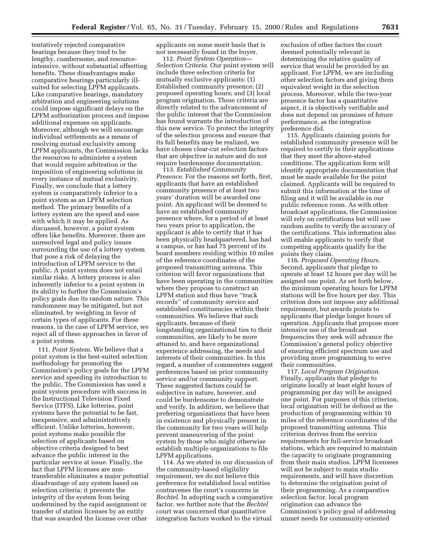tentatively rejected comparative hearings because they tend to be lengthy, cumbersome, and resourceintensive, without substantial offsetting benefits. These disadvantages make comparative hearings particularly illsuited for selecting LPFM applicants. Like comparative hearings, mandatory arbitration and engineering solutions could impose significant delays on the LPFM authorization process and impose additional expenses on applicants. Moreover, although we will encourage individual settlements as a means of resolving mutual exclusivity among LPFM applicants, the Commission lacks the resources to administer a system that would require arbitration or the imposition of engineering solutions in every instance of mutual exclusivity. Finally, we conclude that a lottery system is comparatively inferior to a point system as an LPFM selection method. The primary benefits of a lottery system are the speed and ease with which it may be applied. As discussed, however, a point system offers like benefits. Moreover, there are unresolved legal and policy issues surrounding the use of a lottery system that pose a risk of delaying the introduction of LPFM service to the public. A point system does not entail similar risks. A lottery process is also inherently inferior to a point system in its ability to further the Commission's policy goals due its random nature. This randomness may be mitigated, but not eliminated, by weighting in favor of certain types of applicants. For these reasons, in the case of LPFM service, we reject all of these approaches in favor of a point system.

111. *Point System.* We believe that a point system is the best-suited selection methodology for promoting the Commission's policy goals for the LPFM service and speeding its introduction to the public. The Commission has used a point system procedure with success in the Instructional Television Fixed Service (ITFS). Like lotteries, point systems have the potential to be fast, inexpensive, and administratively efficient. Unlike lotteries, however, point systems make possible the selection of applicants based on objective criteria designed to best advance the public interest in the particular service at issue. Finally, the fact that LPFM licenses are nontransferable eliminates a major potential disadvantage of any system based on selection criteria; it prevents the integrity of the system from being undermined by the rapid assignment or transfer of station licenses by an entity that was awarded the license over other

applicants on some merit basis that is not necessarily found in the buyer.

112. *Point System Operation— Selection Criteria.* Our point system will include three selection criteria for mutually exclusive applicants: (1) Established community presence; (2) proposed operating hours; and (3) local program origination. These criteria are directly related to the advancement of the public interest that the Commission has found warrants the introduction of this new service. To protect the integrity of the selection process and ensure that its full benefits may be realized, we have chosen clear-cut selection factors that are objective in nature and do not require burdensome documentation.

113. *Established Community Presence.* For the reasons set forth, first, applicants that have an established community presence of at least two years' duration will be awarded one point. An applicant will be deemed to have an established community presence where, for a period of at least two years prior to application, the applicant is able to certify that it has been physically headquartered, has had a campus, or has had 75 percent of its board members residing within 10 miles of the reference coordinates of the proposed transmitting antenna. This criterion will favor organizations that have been operating in the communities where they propose to construct an LPFM station and thus have ''track records'' of community service and established constituencies within their communities. We believe that such applicants, because of their longstanding organizational ties to their communities, are likely to be more attuned to, and have organizational experience addressing, the needs and interests of their communities. In this regard, a number of commenters suggest preferences based on prior community service and/or community support. These suggested factors could be subjective in nature, however, and could be burdensome to demonstrate and verify. In addition, we believe that preferring organizations that have been in existence and physically present in the community for two years will help prevent maneuvering of the point system by those who might otherwise establish multiple organizations to file LPFM applications.

114. As we stated in our discussion of the community-based eligibility requirement, we do not believe this preference for established local entities contravenes the court's concerns in *Bechtel.* In adopting such a comparative factor, we further note that the *Bechtel* court was concerned that quantitative integration factors worked to the virtual

exclusion of other factors the court deemed potentially relevant in determining the relative quality of service that would be provided by an applicant. For LPFM, we are including other selection factors and giving them equivalent weight in the selection process. Moreover, while the two-year presence factor has a quantitative aspect, it is objectively verifiable and does not depend on promises of future performance, as the integration preference did.

115. Applicants claiming points for established community presence will be required to certify in their applications that they meet the above-stated conditions. The application form will identify appropriate documentation that must be made available for the point claimed. Applicants will be required to submit this information at the time of filing and it will be available in our public reference room. As with other broadcast applications, the Commission will rely on certifications but will use random audits to verify the accuracy of the certifications. This information also will enable applicants to verify that competing applicants qualify for the points they claim.

116. *Proposed Operating Hours.* Second, applicants that pledge to operate at least 12 hours per day will be assigned one point. As set forth below, the minimum operating hours for LPFM stations will be five hours per day. This criterion does not impose any additional requirement, but awards points to applicants that pledge longer hours of operation. Applicants that propose more intensive use of the broadcast frequencies they seek will advance the Commission's general policy objective of ensuring efficient spectrum use and providing more programming to serve their communities.

117. *Local Program Origination.* Finally, applicants that pledge to originate locally at least eight hours of programming per day will be assigned one point. For purposes of this criterion, local origination will be defined as the production of programming within 10 miles of the reference coordinates of the proposed transmitting antenna. This criterion derives from the service requirements for full-service broadcast stations, which are required to maintain the capacity to originate programming from their main studios. LPFM licensees will not be subject to main studio requirements, and will have discretion to determine the origination point of their programming. As a comparative selection factor, local program origination can advance the Commission's policy goal of addressing unmet needs for community-oriented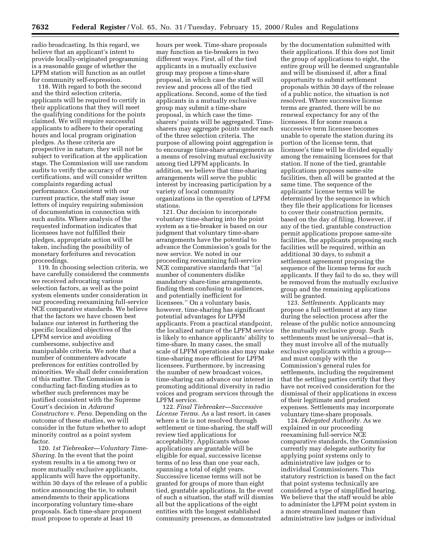radio broadcasting. In this regard, we believe that an applicant's intent to provide locally-originated programming is a reasonable gauge of whether the LPFM station will function as an outlet for community self-expression.

118. With regard to both the second and the third selection criteria, applicants will be required to certify in their applications that they will meet the qualifying conditions for the points claimed. We will require successful applicants to adhere to their operating hours and local program origination pledges. As these criteria are prospective in nature, they will not be subject to verification at the application stage. The Commission will use random audits to verify the accuracy of the certifications, and will consider written complaints regarding actual performance. Consistent with our current practice, the staff may issue letters of inquiry requiring submission of documentation in connection with such audits. Where analysis of the requested information indicates that licensees have not fulfilled their pledges, appropriate action will be taken, including the possibility of monetary forfeitures and revocation proceedings.

119. In choosing selection criteria, we have carefully considered the comments we received advocating various selection factors, as well as the point system elements under consideration in our proceeding reexamining full-service NCE comparative standards. We believe that the factors we have chosen best balance our interest in furthering the specific localized objectives of the LPFM service and avoiding cumbersome, subjective and manipulable criteria. We note that a number of commenters advocate preferences for entities controlled by minorities. We shall defer consideration of this matter. The Commission is conducting fact-finding studies as to whether such preferences may be justified consistent with the Supreme Court's decision in *Adarand Constructors* v. *Pena.* Depending on the outcome of these studies, we will consider in the future whether to adopt minority control as a point system factor.

120. *1st Tiebreaker—Voluntary Time-Sharing.* In the event that the point system results in a tie among two or more mutually exclusive applicants, applicants will have the opportunity, within 30 days of the release of a public notice announcing the tie, to submit amendments to their applications incorporating voluntary time-share proposals. Each time-share proponent must propose to operate at least 10

hours per week. Time-share proposals may function as tie-breakers in two different ways. First, all of the tied applicants in a mutually exclusive group may propose a time-share proposal, in which case the staff will review and process all of the tied applications. Second, some of the tied applicants in a mutually exclusive group may submit a time-share proposal, in which case the timesharers' points will be aggregated. Timesharers may aggregate points under each of the three selection criteria. The purpose of allowing point aggregation is to encourage time-share arrangements as a means of resolving mutual exclusivity among tied LPFM applicants. In addition, we believe that time-sharing arrangements will serve the public interest by increasing participation by a variety of local community organizations in the operation of LPFM stations.

121. Our decision to incorporate voluntary time-sharing into the point system as a tie-breaker is based on our judgment that voluntary time-share arrangements have the potential to advance the Commission's goals for the new service. We noted in our proceeding reexamining full-service NCE comparative standards that ''[a] number of commenters dislike mandatory share-time arrangements, finding them confusing to audiences, and potentially inefficient for licensees.'' On a voluntary basis, however, time-sharing has significant potential advantages for LPFM applicants. From a practical standpoint, the localized nature of the LPFM service is likely to enhance applicants' ability to time-share. In many cases, the small scale of LPFM operations also may make time-sharing more efficient for LPFM licensees. Furthermore, by increasing the number of new broadcast voices, time-sharing can advance our interest in promoting additional diversity in radio voices and program services through the LPFM service.

122. *Final Tiebreaker—Successive License Terms.* As a last resort, in cases where a tie is not resolved through settlement or time-sharing, the staff will review tied applications for acceptability. Applicants whose applications are grantable will be eligible for equal, successive license terms of no less than one year each, spanning a total of eight years. Successive license terms will not be granted for groups of more than eight tied, grantable applications. In the event of such a situation, the staff will dismiss all but the applications of the eight entities with the longest established community presences, as demonstrated

by the documentation submitted with their applications. If this does not limit the group of applications to eight, the entire group will be deemed ungrantable and will be dismissed if, after a final opportunity to submit settlement proposals within 30 days of the release of a public notice, the situation is not resolved. Where successive license terms are granted, there will be no renewal expectancy for any of the licensees. If for some reason a successive term licensee becomes unable to operate the station during its portion of the license term, that licensee's time will be divided equally among the remaining licensees for that station. If none of the tied, grantable applications proposes same-site facilities, then all will be granted at the same time. The sequence of the applicants' license terms will be determined by the sequence in which they file their applications for licenses to cover their construction permits, based on the day of filing. However, if any of the tied, grantable construction permit applications propose same-site facilities, the applicants proposing such facilities will be required, within an additional 30 days, to submit a settlement agreement proposing the sequence of the license terms for such applicants. If they fail to do so, they will be removed from the mutually exclusive group and the remaining applications will be granted.

123. *Settlements.* Applicants may propose a full settlement at any time during the selection process after the release of the public notice announcing the mutually exclusive group. Such settlements must be universal—that is, they must involve all of the mutually exclusive applicants within a group and must comply with the Commission's general rules for settlements, including the requirement that the settling parties certify that they have not received consideration for the dismissal of their applications in excess of their legitimate and prudent expenses. Settlements may incorporate voluntary time-share proposals.

124. *Delegated Authority.* As we explained in our proceeding reexamining full-service NCE comparative standards, the Commission currently may delegate authority for applying point systems only to administrative law judges or to individual Commissioners. This statutory restriction is based on the fact that point systems technically are considered a type of simplified hearing. We believe that the staff would be able to administer the LPFM point system in a more streamlined manner than administrative law judges or individual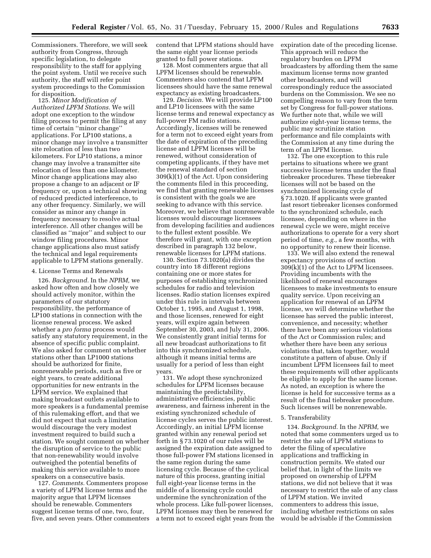Commissioners. Therefore, we will seek authority from Congress, through specific legislation, to delegate responsibility to the staff for applying the point system. Until we receive such authority, the staff will refer point system proceedings to the Commission for disposition.

125. *Minor Modification of Authorized LPFM Stations.* We will adopt one exception to the window filing process to permit the filing at any time of certain ''minor change'' applications. For LP100 stations, a minor change may involve a transmitter site relocation of less than two kilometers. For LP10 stations, a minor change may involve a transmitter site relocation of less than one kilometer. Minor change applications may also propose a change to an adjacent or IF frequency or, upon a technical showing of reduced predicted interference, to any other frequency. Similarly, we will consider as minor any change in frequency necessary to resolve actual interference. All other changes will be classified as ''major'' and subject to our window filing procedures. Minor change applications also must satisfy the technical and legal requirements applicable to LPFM stations generally.

#### 4. License Terms and Renewals

126. *Background.* In the *NPRM,* we asked how often and how closely we should actively monitor, within the parameters of our statutory responsibility, the performance of LP100 stations in connection with the license renewal process. We asked whether a *pro forma* process would satisfy any statutory requirement, in the absence of specific public complaint. We also asked for comment on whether stations other than LP1000 stations should be authorized for finite, nonrenewable periods, such as five or eight years, to create additional opportunities for new entrants in the LPFM service. We explained that making broadcast outlets available to more speakers is a fundamental premise of this rulemaking effort, and that we did not expect that such a limitation would discourage the very modest investment required to build such a station. We sought comment on whether the disruption of service to the public that non-renewability would involve outweighed the potential benefits of making this service available to more speakers on a consecutive basis.

127. *Comments.* Commenters propose a variety of LPFM license terms and the majority argue that LPFM licenses should be renewable. Commenters suggest license terms of one, two, four, five, and seven years. Other commenters contend that LPFM stations should have the same eight year license periods granted to full power stations.

128. Most commenters argue that all LPFM licenses should be renewable. Commenters also contend that LPFM licensees should have the same renewal expectancy as existing broadcasters.

129. *Decision.* We will provide LP100 and LP10 licensees with the same license terms and renewal expectancy as full-power FM radio stations. Accordingly, licenses will be renewed for a term not to exceed eight years from the date of expiration of the preceding license and LPFM licenses will be renewed, without consideration of competing applicants, if they have met the renewal standard of section 309(k)(1) of the Act. Upon considering the comments filed in this proceeding, we find that granting renewable licenses is consistent with the goals we are seeking to advance with this service. Moreover, we believe that nonrenewable licenses would discourage licensees from developing facilities and audiences to the fullest extent possible. We therefore will grant, with one exception described in paragraph 132 below, renewable licenses for LPFM stations.

130. Section 73.1020(a) divides the country into 18 different regions containing one or more states for purposes of establishing synchronized schedules for radio and television licenses. Radio station licenses expired under this rule in intervals between October 1, 1995, and August 1, 1998, and those licenses, renewed for eight years, will expire again between September 30, 2003, and July 31, 2006. We consistently grant initial terms for all new broadcast authorizations to fit into this synchronized schedule, although it means initial terms are usually for a period of less than eight years.

131. We adopt these synchronized schedules for LPFM licenses because maintaining the predictability, administrative efficiencies, public awareness, and fairness inherent in the existing synchronized schedule of license cycles serves the public interest. Accordingly, an initial LPFM license granted within any renewal period set forth in § 73.1020 of our rules will be assigned the expiration date assigned to those full-power FM stations licensed in the same region during the same licensing cycle. Because of the cyclical nature of this process, granting initial full eight-year license terms in the middle of a licensing cycle could undermine the synchronization of the whole process. Like full-power licenses, LPFM licenses may then be renewed for a term not to exceed eight years from the expiration date of the preceding license. This approach will reduce the regulatory burden on LPFM broadcasters by affording them the same maximum license terms now granted other broadcasters, and will correspondingly reduce the associated burdens on the Commission. We see no compelling reason to vary from the term set by Congress for full-power stations. We further note that, while we will authorize eight-year license terms, the public may scrutinize station performance and file complaints with the Commission at any time during the term of an LPFM license.

132. The one exception to this rule pertains to situations where we grant successive license terms under the final tiebreaker procedures. These tiebreaker licenses will not be based on the synchronized licensing cycle of § 73.1020. If applicants were granted last resort tiebreaker licenses conformed to the synchronized schedule, each licensee, depending on where in the renewal cycle we were, might receive authorizations to operate for a very short period of time, *e.g.,* a few months, with no opportunity to renew their license.

133. We will also extend the renewal expectancy provisions of section 309(k)(1) of the Act to LPFM licensees. Providing incumbents with the likelihood of renewal encourages licensees to make investments to ensure quality service. Upon receiving an application for renewal of an LPFM license, we will determine whether the licensee has served the public interest, convenience, and necessity; whether there have been any serious violations of the Act or Commission rules; and whether there have been any serious violations that, taken together, would constitute a pattern of abuse. Only if incumbent LPFM licensees fail to meet these requirements will other applicants be eligible to apply for the same license. As noted, an exception is where the license is held for successive terms as a result of the final tiebreaker procedure. Such licenses will be nonrenewable.

#### 5. Transferability

134. *Background.* In the *NPRM,* we noted that some commenters urged us to restrict the sale of LPFM stations to deter the filing of speculative applications and trafficking in construction permits. We stated our belief that, in light of the limits we proposed on ownership of LPFM stations, we did not believe that it was necessary to restrict the sale of any class of LPFM station. We invited commenters to address this issue, including whether restrictions on sales would be advisable if the Commission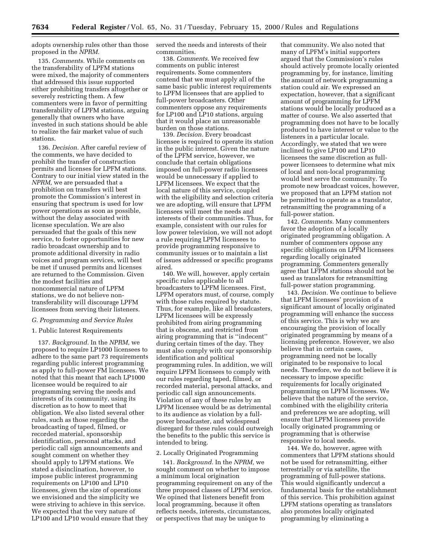adopts ownership rules other than those proposed in the *NPRM.*

135. *Comments.* While comments on the transferability of LPFM stations were mixed, the majority of commenters that addressed this issue supported either prohibiting transfers altogether or severely restricting them. A few commenters were in favor of permitting transferability of LPFM stations, arguing generally that owners who have invested in such stations should be able to realize the fair market value of such stations.

136. *Decision.* After careful review of the comments, we have decided to prohibit the transfer of construction permits and licenses for LPFM stations. Contrary to our initial view stated in the *NPRM,* we are persuaded that a prohibition on transfers will best promote the Commission's interest in ensuring that spectrum is used for low power operations as soon as possible, without the delay associated with license speculation. We are also persuaded that the goals of this new service, to foster opportunities for new radio broadcast ownership and to promote additional diversity in radio voices and program services, will best be met if unused permits and licenses are returned to the Commission. Given the modest facilities and noncommercial nature of LPFM stations, we do not believe nontransferability will discourage LPFM licensees from serving their listeners.

## *G. Programming and Service Rules*

## 1. Public Interest Requirements

137. *Background.* In the *NPRM,* we proposed to require LP1000 licensees to adhere to the same part 73 requirements regarding public interest programming as apply to full-power FM licensees. We noted that this meant that each LP1000 licensee would be required to air programming serving the needs and interests of its community, using its discretion as to how to meet that obligation. We also listed several other rules, such as those regarding the broadcasting of taped, filmed, or recorded material, sponsorship identification, personal attacks, and periodic call sign announcements and sought comment on whether they should apply to LPFM stations. We stated a disinclination, however, to impose public interest programming requirements on LP100 and LP10 licensees, given the size of operations we envisioned and the simplicity we were striving to achieve in this service. We expected that the very nature of LP100 and LP10 would ensure that they

served the needs and interests of their communities.

138. *Comments.* We received few comments on public interest requirements. Some commenters contend that we must apply all of the same basic public interest requirements to LPFM licensees that are applied to full-power broadcasters. Other commenters oppose any requirements for LP100 and LP10 stations, arguing that it would place an unreasonable burden on those stations.

139. *Decision.* Every broadcast licensee is required to operate its station in the public interest. Given the nature of the LPFM service, however, we conclude that certain obligations imposed on full-power radio licensees would be unnecessary if applied to LPFM licensees. We expect that the local nature of this service, coupled with the eligibility and selection criteria we are adopting, will ensure that LPFM licensees will meet the needs and interests of their communities. Thus, for example, consistent with our rules for low power television, we will not adopt a rule requiring LPFM licensees to provide programming responsive to community issues or to maintain a list of issues addressed or specific programs aired.

140. We will, however, apply certain specific rules applicable to all broadcasters to LPFM licensees. First, LPFM operators must, of course, comply with those rules required by statute. Thus, for example, like all broadcasters, LPFM licensees will be expressly prohibited from airing programming that is obscene, and restricted from airing programming that is ''indecent'' during certain times of the day. They must also comply with our sponsorship identification and political programming rules. In addition, we will require LPFM licensees to comply with our rules regarding taped, filmed, or recorded material, personal attacks, and periodic call sign announcements. Violation of any of these rules by an LPFM licensee would be as detrimental to its audience as violation by a fullpower broadcaster, and widespread disregard for these rules could outweigh the benefits to the public this service is intended to bring.

#### 2. Locally Originated Programming

141. *Background.* In the *NPRM,* we sought comment on whether to impose a minimum local origination programming requirement on any of the three proposed classes of LPFM service. We opined that listeners benefit from local programming, because it often reflects needs, interests, circumstances, or perspectives that may be unique to

that community. We also noted that many of LPFM's initial supporters argued that the Commission's rules should actively promote locally oriented programming by, for instance, limiting the amount of network programming a station could air. We expressed an expectation, however, that a significant amount of programming for LPFM stations would be locally produced as a matter of course. We also asserted that programming does not have to be locally produced to have interest or value to the listeners in a particular locale. Accordingly, we stated that we were inclined to give LP100 and LP10 licensees the same discretion as fullpower licensees to determine what mix of local and non-local programming would best serve the community. To promote new broadcast voices, however, we proposed that an LPFM station not be permitted to operate as a translator, retransmitting the programming of a full-power station.

142. *Comments.* Many commenters favor the adoption of a locally originated programming obligation. A number of commenters oppose any specific obligations on LPFM licensees regarding locally originated programming. Commenters generally agree that LFPM stations should not be used as translators for retransmitting full-power station programming.

143. *Decision.* We continue to believe that LPFM licensees' provision of a significant amount of locally originated programming will enhance the success of this service. This is why we are encouraging the provision of locally originated programming by means of a licensing preference. However, we also believe that in certain cases, programming need not be locally originated to be responsive to local needs. Therefore, we do not believe it is necessary to impose specific requirements for locally originated programming on LPFM licensees. We believe that the nature of the service, combined with the eligibility criteria and preferences we are adopting, will ensure that LPFM licensees provide locally originated programming or programming that is otherwise responsive to local needs.

144. We do, however, agree with commenters that LPFM stations should not be used for retransmitting, either terrestrially or via satellite, the programming of full-power stations. This would significantly undercut a fundamental basis for the establishment of this service. This prohibition against LPFM stations operating as translators also promotes locally originated programming by eliminating a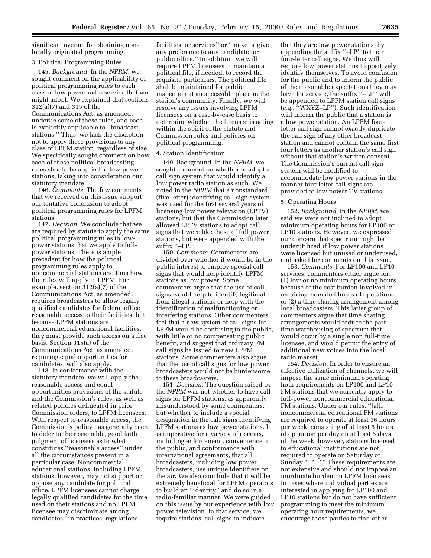significant avenue for obtaining nonlocally originated programming.

#### 3. Political Programming Rules

145. *Background.* In the *NPRM,* we sought comment on the applicability of political programming rules to each class of low power radio service that we might adopt. We explained that sections 312(a)(7) and 315 of the Communications Act, as amended, underlie some of these rules, and each is explicitly applicable to ''broadcast stations.'' Thus, we lack the discretion not to apply these provisions to any class of LPFM station, regardless of size. We specifically sought comment on how each of these political broadcasting rules should be applied to low-power stations, taking into consideration our statutory mandate.

146. *Comments.* The few comments that we received on this issue support our tentative conclusion to adopt political programming rules for LPFM stations.

147. *Decision.* We conclude that we are required by statute to apply the same political programming rules to lowpower stations that we apply to fullpower stations. There is ample precedent for how the political programming rules apply to noncommercial stations and thus how the rules will apply to LPFM. For example, section 312(a)(7) of the Communications Act, as amended, requires broadcasters to allow legally qualified candidates for federal office reasonable access to their facilities, but because LPFM stations are noncommercial educational facilities, they must provide such access on a free basis. Section 315(a) of the Communications Act, as amended, requiring equal opportunities for candidates, will also apply.

148. In conformance with the statutory mandate, we will apply the reasonable access and equal opportunities provisions of the statute and the Commission's rules, as well as related policies delineated in prior Commission orders, to LPFM licensees. With respect to reasonable access, the Commission's policy has generally been to defer to the reasonable, good faith judgment of licensees as to what constitutes ''reasonable access'' under all the circumstances present in a particular case. Noncommercial educational stations, including LPFM stations, however, may not support or oppose any candidate for political office. LPFM licensees cannot charge legally qualified candidates for the time used on their stations and no LPFM licensee may discriminate among candidates ''in practices, regulations,

facilities, or services'' or ''make or give any preference to any candidate for public office.'' In addition, we will require LPFM licensees to maintain a political file, if needed, to record the requisite particulars. The political file shall be maintained for public inspection at an accessible place in the station's community. Finally, we will resolve any issues involving LPFM licensees on a case-by-case basis to determine whether the licensee is acting within the spirit of the statute and Commission rules and policies on political programming.

## 4. Station Identification

149. Background. In the *NPRM,* we sought comment on whether to adopt a call sign system that would identify a low power radio station as such. We noted in the *NPRM* that a nonstandard (five letter) identifying call sign system was used for the first several years of licensing low power television (LPTV) stations, but that the Commission later allowed LPTV stations to adopt call signs that were like those of full power stations, but were appended with the suffix ''–LP.''

150. *Comments.* Commenters are divided over whether it would be in the public interest to employ special call signs that would help identify LPFM stations as low power. Some commenters argue that the use of call signs would help to identify legitimate from illegal stations, or help with the identification of malfunctioning or interfering stations. Other commenters feel that a new system of call signs for LPFM would be confusing to the public, with little or no compensating public benefit, and suggest that ordinary FM call signs be issued to new LPFM stations. Some commenters also argue that the use of call signs for low power broadcasters would not be burdensome to these broadcasters.

151. *Decision.* The question raised by the *NPRM* was not whether to have call signs for LPFM stations, as apparently misunderstood by some commenters, but whether to include a special designation in the call signs identifying LPFM stations as low power stations. It is imperative for a variety of reasons, including enforcement, convenience to the public, and conformance with international agreements, that all broadcasters, including low power broadcasters, use unique identifiers on the air. We also conclude that it will be extremely beneficial for LPFM operators to build an ''identity'' and do so in a radio-familiar manner. We were guided on this issue by our experience with low power television. In that service, we require stations' call signs to indicate

that they are low power stations, by appending the suffix ''–LP'' to their four-letter call signs. We thus will require low power stations to positively identify themselves. To avoid confusion for the public and to inform the public of the reasonable expectations they may have for service, the suffix "–LP" will be appended to LPFM station call signs (*e.g.,* ''WXYZ–LP''). Such identification will inform the public that a station is a low power station. An LPFM fourletter call sign cannot exactly duplicate the call sign of any other broadcast station and cannot contain the same first four letters as another station's call sign without that station's written consent. The Commission's current call sign system will be modified to accommodate low power stations in the manner four letter call signs are provided to low power TV stations.

#### 5. Operating Hours

152. *Background.* In the *NPRM,* we said we were not inclined to adopt minimum operating hours for LP100 or LP10 stations. However, we expressed our concern that spectrum might be underutilized if low power stations were licensed but unused or underused, and asked for comments on this issue.

153. *Comments.* For LP100 and LP10 services, commenters either argue for: (1) low or no minimum operating hours, because of the cost burden involved in requiring extended hours of operations, or (2) a time sharing arrangement among local broadcasters. This latter group of commenters argue that time sharing arrangements would reduce the parttime warehousing of spectrum that would occur by a single non full-time licensee, and would permit the entry of additional new voices into the local radio market.

154. *Decision.* In order to ensure an effective utilization of channels, we will impose the same minimum operating hour requirements on LP100 and LP10 FM stations that we currently apply to full-power noncommercial educational FM stations. Under our rules, ''[a]ll noncommercial educational FM stations are required to operate at least 36 hours per week, consisting of at least 5 hours of operation per day on at least 6 days of the week; however, stations licensed to educational institutions are not required to operate on Saturday or Sunday  $*$   $*$   $*$   $*$  These requirements are not extensive and should not impose an inordinate burden on LPFM licensees. In cases where individual parties are interested in applying for LP100 and LP10 stations but do not have sufficient programming to meet the minimum operating hour requirements, we encourage those parties to find other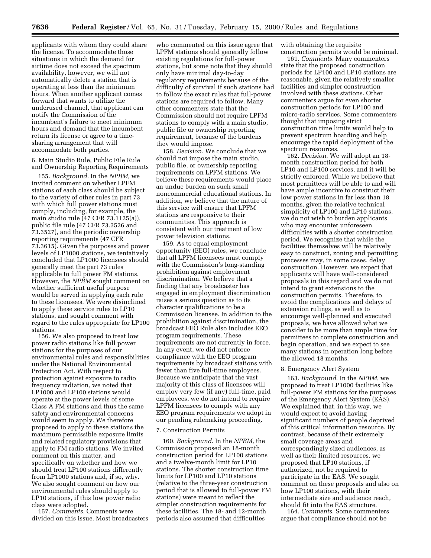applicants with whom they could share the license. To accommodate those situations in which the demand for airtime does not exceed the spectrum availability, however, we will not automatically delete a station that is operating at less than the minimum hours. When another applicant comes forward that wants to utilize the underused channel, that applicant can notify the Commission of the incumbent's failure to meet minimum hours and demand that the incumbent return its license or agree to a timesharing arrangement that will accommodate both parties.

6. Main Studio Rule, Public File Rule and Ownership Reporting Requirements

155. *Background.* In the *NPRM,* we invited comment on whether LPFM stations of each class should be subject to the variety of other rules in part 73 with which full power stations must comply, including, for example, the main studio rule (47 CFR 73.1125(a)), public file rule (47 CFR 73.3526 and 73.3527), and the periodic ownership reporting requirements (47 CFR 73.3615). Given the purposes and power levels of LP1000 stations, we tentatively concluded that LP1000 licensees should generally meet the part 73 rules applicable to full power FM stations. However, the *NPRM* sought comment on whether sufficient useful purpose would be served in applying each rule to these licensees. We were disinclined to apply these service rules to LP10 stations, and sought comment with regard to the rules appropriate for LP100 stations.

156. We also proposed to treat low power radio stations like full power stations for the purposes of our environmental rules and responsibilities under the National Environmental Protection Act. With respect to protection against exposure to radio frequency radiation, we noted that LP1000 and LP100 stations would operate at the power levels of some Class A FM stations and thus the same safety and environmental concerns would seem to apply. We therefore proposed to apply to these stations the maximum permissible exposure limits and related regulatory provisions that apply to FM radio stations. We invited comment on this matter, and specifically on whether and how we should treat LP100 stations differently from LP1000 stations and, if so, why. We also sought comment on how our environmental rules should apply to LP10 stations, if this low power radio class were adopted.

157. *Comments.* Comments were divided on this issue. Most broadcasters

who commented on this issue agree that LPFM stations should generally follow existing regulations for full-power stations, but some note that they should only have minimal day-to-day regulatory requirements because of the difficulty of survival if such stations had to follow the exact rules that full-power stations are required to follow. Many other commenters state that the Commission should not require LPFM stations to comply with a main studio, public file or ownership reporting requirement, because of the burdens they would impose.

158. *Decision.* We conclude that we should not impose the main studio, public file, or ownership reporting requirements on LPFM stations. We believe these requirements would place an undue burden on such small noncommercial educational stations. In addition, we believe that the nature of this service will ensure that LPFM stations are responsive to their communities. This approach is consistent with our treatment of low power television stations.

159. As to equal employment opportunity (EEO) rules, we conclude that all LPFM licensees must comply with the Commission's long-standing prohibition against employment discrimination. We believe that a finding that any broadcaster has engaged in employment discrimination raises a serious question as to its character qualifications to be a Commission licensee. In addition to the prohibition against discrimination, the broadcast EEO Rule also includes EEO program requirements. These requirements are not currently in force. In any event, we did not enforce compliance with the EEO program requirements by broadcast stations with fewer than five full-time employees. Because we anticipate that the vast majority of this class of licensees will employ very few (if any) full-time, paid employees, we do not intend to require LPFM licensees to comply with any EEO program requirements we adopt in our pending rulemaking proceeding.

## 7. Construction Permits

160. *Background.* In the *NPRM,* the Commission proposed an 18-month construction period for LP100 stations and a twelve-month limit for LP10 stations. The shorter construction time limits for LP100 and LP10 stations (relative to the three-year construction period that is allowed to full-power FM stations) were meant to reflect the simpler construction requirements for these facilities. The 18- and 12-month periods also assumed that difficulties

with obtaining the requisite construction permits would be minimal.

161. *Comments.* Many commenters state that the proposed construction periods for LP100 and LP10 stations are reasonable, given the relatively smaller facilities and simpler construction involved with these stations. Other commenters argue for even shorter construction periods for LP100 and micro-radio services. Some commenters thought that imposing strict construction time limits would help to prevent spectrum hoarding and help encourage the rapid deployment of the spectrum resources.

162. *Decision.* We will adopt an 18 month construction period for both LP10 and LP100 services, and it will be strictly enforced. While we believe that most permittees will be able to and will have ample incentive to construct their low power stations in far less than 18 months, given the relative technical simplicity of LP100 and LP10 stations, we do not wish to burden applicants who may encounter unforeseen difficulties with a shorter construction period. We recognize that while the facilities themselves will be relatively easy to construct, zoning and permitting processes may, in some cases, delay construction. However, we expect that applicants will have well-considered proposals in this regard and we do not intend to grant extensions to the construction permits. Therefore, to avoid the complications and delays of extension rulings, as well as to encourage well-planned and executed proposals, we have allowed what we consider to be more than ample time for permittees to complete construction and begin operation, and we expect to see many stations in operation long before the allowed 18 months.

#### 8. Emergency Alert System

163. *Background*. In the *NPRM*, we proposed to treat LP1000 facilities like full-power FM stations for the purposes of the Emergency Alert System (EAS). We explained that, in this way, we would expect to avoid having significant numbers of people deprived of this critical information resource. By contrast, because of their extremely small coverage areas and correspondingly sized audiences, as well as their limited resources, we proposed that LP10 stations, if authorized, not be required to participate in the EAS. We sought comment on these proposals and also on how LP100 stations, with their intermediate size and audience reach, should fit into the EAS structure.

164. *Comments*. Some commenters argue that compliance should not be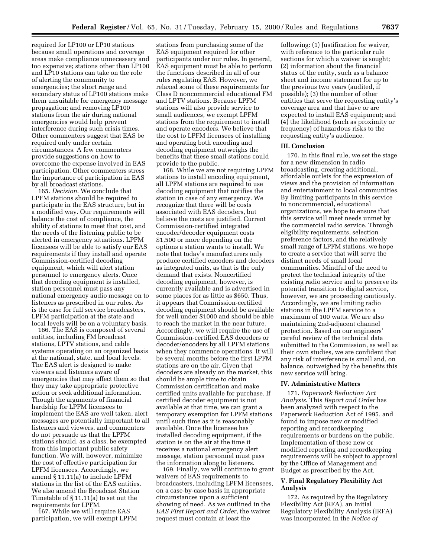required for LP100 or LP10 stations because small operations and coverage areas make compliance unnecessary and too expensive; stations other than LP100 and LP10 stations can take on the role of alerting the community to emergencies; the short range and secondary status of LP100 stations make them unsuitable for emergency message propagation; and removing LP100 stations from the air during national emergencies would help prevent interference during such crisis times. Other commenters suggest that EAS be required only under certain circumstances. A few commenters provide suggestions on how to overcome the expense involved in EAS participation. Other commenters stress the importance of participation in EAS by all broadcast stations.

165. *Decision*. We conclude that LPFM stations should be required to participate in the EAS structure, but in a modified way. Our requirements will balance the cost of compliance, the ability of stations to meet that cost, and the needs of the listening public to be alerted in emergency situations. LPFM licensees will be able to satisfy our EAS requirements if they install and operate Commission-certified decoding equipment, which will alert station personnel to emergency alerts. Once that decoding equipment is installed, station personnel must pass any national emergency audio message on to listeners as prescribed in our rules. As is the case for full service broadcasters, LPFM participation at the state and local levels will be on a voluntary basis.

166. The EAS is composed of several entities, including FM broadcast stations, LPTV stations, and cable systems operating on an organized basis at the national, state, and local levels. The EAS alert is designed to make viewers and listeners aware of emergencies that may affect them so that they may take appropriate protective action or seek additional information. Though the arguments of financial hardship for LPFM licensees to implement the EAS are well taken, alert messages are potentially important to all listeners and viewers, and commenters do not persuade us that the LPFM stations should, as a class, be exempted from this important public safety function. We will, however, minimize the cost of effective participation for LPFM licensees. Accordingly, we amend § 11.11(a) to include LPFM stations in the list of the EAS entities. We also amend the Broadcast Station Timetable of § 11.11(a) to set out the requirements for LPFM.

167. While we will require EAS participation, we will exempt LPFM

stations from purchasing some of the EAS equipment required for other participants under our rules. In general, EAS equipment must be able to perform the functions described in all of our rules regulating EAS. However, we relaxed some of these requirements for Class D noncommercial educational FM and LPTV stations. Because LPFM stations will also provide service to small audiences, we exempt LPFM stations from the requirement to install and operate encoders. We believe that the cost to LPFM licensees of installing and operating both encoding and decoding equipment outweighs the benefits that these small stations could provide to the public.

168. While we are not requiring LPFM stations to install encoding equipment, all LPFM stations are required to use decoding equipment that notifies the station in case of any emergency. We recognize that there will be costs associated with EAS decoders, but believe the costs are justified. Current Commission-certified integrated encoder/decoder equipment costs \$1,500 or more depending on the options a station wants to install. We note that today's manufacturers only produce certified encoders and decoders as integrated units, as that is the only demand that exists. Noncertified decoding equipment, however, is currently available and is advertised in some places for as little as \$650. Thus, it appears that Commission-certified decoding equipment should be available for well under \$1000 and should be able to reach the market in the near future. Accordingly, we will require the use of Commission-certified EAS decoders or decoder/encoders by all LPFM stations when they commence operations. It will be several months before the first LPFM stations are on the air. Given that decoders are already on the market, this should be ample time to obtain Commission certification and make certified units available for purchase. If certified decoder equipment is not available at that time, we can grant a temporary exemption for LPFM stations until such time as it is reasonably available. Once the licensee has installed decoding equipment, if the station is on the air at the time it receives a national emergency alert message, station personnel must pass the information along to listeners.

169. Finally, we will continue to grant waivers of EAS requirements to broadcasters, including LPFM licensees, on a case-by-case basis in appropriate circumstances upon a sufficient showing of need. As we outlined in the *EAS First Report and Order*, the waiver request must contain at least the

following: (1) Justification for waiver, with reference to the particular rule sections for which a waiver is sought; (2) information about the financial status of the entity, such as a balance sheet and income statement for up to the previous two years (audited, if possible); (3) the number of other entities that serve the requesting entity's coverage area and that have or are expected to install EAS equipment; and (4) the likelihood (such as proximity or frequency) of hazardous risks to the requesting entity's audience.

## **III. Conclusion**

170. In this final rule, we set the stage for a new dimension in radio broadcasting, creating additional, affordable outlets for the expression of views and the provision of information and entertainment to local communities. By limiting participants in this service to noncommercial, educational organizations, we hope to ensure that this service will meet needs unmet by the commercial radio service. Through eligibility requirements, selection preference factors, and the relatively small range of LPFM stations, we hope to create a service that will serve the distinct needs of small local communities. Mindful of the need to protect the technical integrity of the existing radio service and to preserve its potential transition to digital service, however, we are proceeding cautiously. Accordingly, we are limiting radio stations in the LPFM service to a maximum of 100 watts. We are also maintaining 2nd-adjacent channel protection. Based on our engineers' careful review of the technical data submitted to the Commission, as well as their own studies, we are confident that any risk of interference is small and, on balance, outweighed by the benefits this new service will bring.

## **IV. Administrative Matters**

171. *Paperwork Reduction Act Analysis*. This *Report and Order* has been analyzed with respect to the Paperwork Reduction Act of 1995, and found to impose new or modified reporting and recordkeeping requirements or burdens on the public. Implementation of these new or modified reporting and recordkeeping requirements will be subject to approval by the Office of Management and Budget as prescribed by the Act.

## **V. Final Regulatory Flexibility Act Analysis**

172. As required by the Regulatory Flexibility Act (RFA), an Initial Regulatory Flexibility Analysis (IRFA) was incorporated in the *Notice of*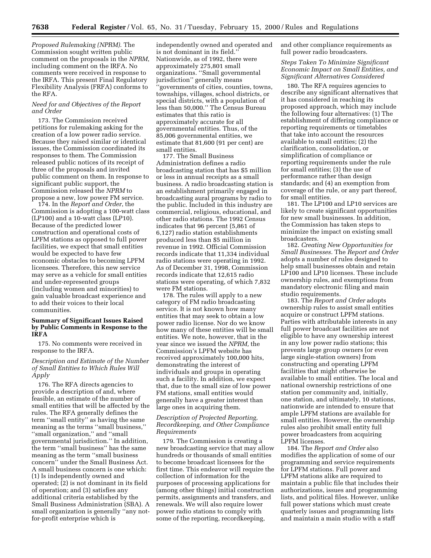*Proposed Rulemaking (NPRM)*. The Commission sought written public comment on the proposals in the *NPRM*, including comment on the IRFA. No comments were received in response to the IRFA. This present Final Regulatory Flexibility Analysis (FRFA) conforms to the RFA.

## *Need for and Objectives of the Report and Order*

173. The Commission received petitions for rulemaking asking for the creation of a low power radio service. Because they raised similar or identical issues, the Commission coordinated its responses to them. The Commission released public notices of its receipt of three of the proposals and invited public comment on them. In response to significant public support, the Commission released the *NPRM* to propose a new, low power FM service.

174. In the *Report and Order*, the Commission is adopting a 100-watt class (LP100) and a 10-watt class (LP10). Because of the predicted lower construction and operational costs of LPFM stations as opposed to full power facilities, we expect that small entities would be expected to have few economic obstacles to becoming LPFM licensees. Therefore, this new service may serve as a vehicle for small entities and under-represented groups (including women and minorities) to gain valuable broadcast experience and to add their voices to their local communities.

## **Summary of Significant Issues Raised by Public Comments in Response to the IRFA**

175. No comments were received in response to the IRFA.

## *Description and Estimate of the Number of Small Entities to Which Rules Will Apply*

176. The RFA directs agencies to provide a description of and, where feasible, an estimate of the number of small entities that will be affected by the rules. The RFA generally defines the term ''small entity'' as having the same meaning as the terms ''small business,'' ''small organization,'' and ''small governmental jurisdiction.'' In addition, the term ''small business'' has the same meaning as the term ''small business concern'' under the Small Business Act. A small business concern is one which: (1) Is independently owned and operated; (2) is not dominant in its field of operation; and (3) satisfies any additional criteria established by the Small Business Administration (SBA). A small organization is generally ''any notfor-profit enterprise which is

independently owned and operated and is not dominant in its field.'' Nationwide, as of 1992, there were approximately 275,801 small organizations. ''Small governmental jurisdiction'' generally means ''governments of cities, counties, towns, townships, villages, school districts, or special districts, with a population of less than 50,000.'' The Census Bureau estimates that this ratio is approximately accurate for all governmental entities. Thus, of the 85,006 governmental entities, we estimate that 81,600 (91 per cent) are small entities.

177. The Small Business Administration defines a radio broadcasting station that has \$5 million or less in annual receipts as a small business. A radio broadcasting station is an establishment primarily engaged in broadcasting aural programs by radio to the public. Included in this industry are commercial, religious, educational, and other radio stations. The 1992 Census indicates that 96 percent (5,861 of 6,127) radio station establishments produced less than \$5 million in revenue in 1992. Official Commission records indicate that 11,334 individual radio stations were operating in 1992. As of December 31, 1998, Commission records indicate that 12,615 radio stations were operating, of which 7,832 were FM stations.

178. The rules will apply to a new category of FM radio broadcasting service. It is not known how many entities that may seek to obtain a low power radio license. Nor do we know how many of these entities will be small entities. We note, however, that in the year since we issued the *NPRM,* the Commission's LPFM website has received approximately 100,000 hits, demonstrating the interest of individuals and groups in operating such a facility. In addition, we expect that, due to the small size of low power FM stations, small entities would generally have a greater interest than large ones in acquiring them.

## *Description of Projected Reporting, Recordkeeping, and Other Compliance Requirements*

179. The Commission is creating a new broadcasting service that may allow hundreds or thousands of small entities to become broadcast licensees for the first time. This endeavor will require the collection of information for the purposes of processing applications for (among other things) initial construction permits, assignments and transfers, and renewals. We will also require lower power radio stations to comply with some of the reporting, recordkeeping,

and other compliance requirements as full power radio broadcasters.

*Steps Taken To Minimize Significant Economic Impact on Small Entities, and Significant Alternatives Considered*

180. The RFA requires agencies to describe any significant alternatives that it has considered in reaching its proposed approach, which may include the following four alternatives: (1) The establishment of differing compliance or reporting requirements or timetables that take into account the resources available to small entities; (2) the clarification, consolidation, or simplification of compliance or reporting requirements under the rule for small entities; (3) the use of performance rather than design standards; and (4) an exemption from coverage of the rule, or any part thereof, for small entities.

181. The LP100 and LP10 services are likely to create significant opportunities for new small businesses. In addition, the Commission has taken steps to minimize the impact on existing small broadcasters.

182. *Creating New Opportunities for Small Businesses.* The *Report and Order* adopts a number of rules designed to help small businesses obtain and retain LP100 and LP10 licenses. These include ownership rules, and exemptions from mandatory electronic filing and main studio requirements.

183. The *Report and Order* adopts ownership rules to assist small entities acquire or construct LPFM stations. Parties with attributable interests in any full power broadcast facilities are not eligible to have any ownership interest in any low power radio stations; this prevents large group owners (or even large single-station owners) from constructing and operating LPFM facilities that might otherwise be available to small entities. The local and national ownership restrictions of one station per community and, initially, one station, and ultimately, 10 stations, nationwide are intended to ensure that ample LPFM stations are available for small entities. However, the ownership rules also prohibit small entity full power broadcasters from acquiring LPFM licenses.

184. The *Report and Order* also modifies the application of some of our programming and service requirements for LPFM stations. Full power and LPFM stations alike are required to maintain a public file that includes their authorizations, issues and programming lists, and political files. However, unlike full power stations which must create quarterly issues and programming lists and maintain a main studio with a staff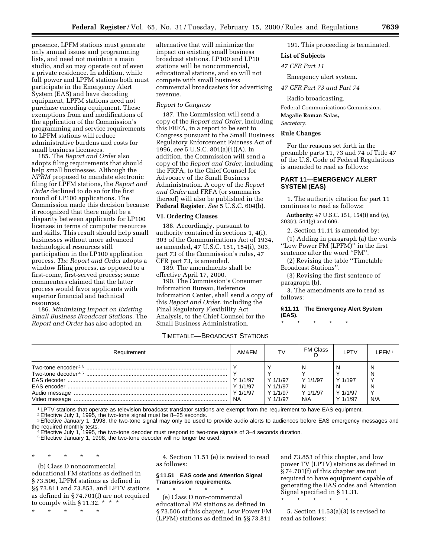presence, LPFM stations must generate only annual issues and programming lists, and need not maintain a main studio, and so may operate out of even a private residence. In addition, while full power and LPFM stations both must participate in the Emergency Alert System (EAS) and have decoding equipment, LPFM stations need not purchase encoding equipment. These exemptions from and modifications of the application of the Commission's programming and service requirements to LPFM stations will reduce administrative burdens and costs for small business licensees.

185. The *Report and Order* also adopts filing requirements that should help small businesses. Although the *NPRM* proposed to mandate electronic filing for LPFM stations, the *Report and Order* declined to do so for the first round of LP100 applications. The Commission made this decision because it recognized that there might be a disparity between applicants for LP100 licenses in terms of computer resources and skills. This result should help small businesses without more advanced technological resources still participation in the LP100 application process. *The Report and Order* adopts a window filing process, as opposed to a first-come, first-served process; some commenters claimed that the latter process would favor applicants with superior financial and technical resources.

186. *Minimizing Impact on Existing Small Business Broadcast Stations.* The *Report and Order* has also adopted an

alternative that will minimize the impact on existing small business broadcast stations. LP100 and LP10 stations will be noncommercial, educational stations, and so will not compete with small business commercial broadcasters for advertising revenue.

#### *Report to Congress*

187. The Commission will send a copy of the *Report and Order,* including this FRFA, in a report to be sent to Congress pursuant to the Small Business Regulatory Enforcement Fairness Act of 1996, *see* 5 U.S.C. 801(a)(1)(A). In addition, the Commission will send a copy of the *Report and Order,* including the FRFA, to the Chief Counsel for Advocacy of the Small Business Administration. A copy of the *Report and Order* and FRFA (or summaries thereof) will also be published in the **Federal Register**. *See* 5 U.S.C. 604(b).

#### **VI. Ordering Clauses**

188. Accordingly, pursuant to authority contained in sections 1, 4(i), 303 of the Communications Act of 1934, as amended, 47 U.S.C. 151, 154(i), 303, part 73 of the Commission's rules, 47 CFR part 73, is amended.

189. The amendments shall be effective April 17, 2000.

190. The Commission's Consumer Information Bureau, Reference Information Center, shall send a copy of this *Report and Order*, including the Final Regulatory Flexibility Act Analysis, to the Chief Counsel for the Small Business Administration.

## TIMETABLE—BROADCAST STATIONS

191. This proceeding is terminated.

## **List of Subjects** *47 CFR Part 11*

Emergency alert system. *47 CFR Part 73 and Part 74*

Radio broadcasting.

Federal Communications Commission. **Magalie Roman Salas,**

*Secretary.*

#### **Rule Changes**

For the reasons set forth in the preamble parts 11, 73 and 74 of Title 47 of the U.S. Code of Federal Regulations is amended to read as follows:

## **PART 11—EMERGENCY ALERT SYSTEM (EAS)**

1. The authority citation for part 11 continues to read as follows:

**Authority:** 47 U.S.C. 151, 154(i) and (o), 303(r), 544(g) and 606.

2. Section 11.11 is amended by:

(1) Adding in paragraph (a) the words ''Low Power FM (LPFM)'' in the first sentence after the word ''FM''.

(2) Revising the table ''Timetable Broadcast Stations''.

(3) Revising the first sentence of paragraph (b).

3. The amendments are to read as follows:

## **§ 11.11 The Emergency Alert System (EAS).**

\* \* \* \* \*

| Requirement                                                                                             | AM&FM                                           | T٧                                               | FM Class                         | I PTV                                       | I PFM-             |
|---------------------------------------------------------------------------------------------------------|-------------------------------------------------|--------------------------------------------------|----------------------------------|---------------------------------------------|--------------------|
| Two-tone encoder $23$<br>Two-tone decoder $4.5$<br><b>FAS encoder</b><br>Audio message<br>Video message | Y 1/1/97<br>Y 1/1/97<br>$Y$ 1/1/97<br><b>NA</b> | Y 1/1/97<br>$Y$ 1/1/97<br>Y 1/1/97<br>$Y$ 1/1/97 | Y 1/1/97<br>N<br>Y 1/1/97<br>N/A | N<br>Y 1/197<br>N<br>Y 1/1/97<br>$Y$ 1/1/97 | N<br>N<br>N<br>N/A |

1 LPTV stations that operate as television broadcast translator stations are exempt from the requirement to have EAS equipment.

2Effective July 1, 1995, the two-tone signal must be 8–25 seconds.

<sup>3</sup> Effective January 1, 1998, the two-tone signal may only be used to provide audio alerts to audiences before EAS emergency messages and the required monthly tests.<br>4 Effective July 1, 1995, the two-tone decoder must respond to two-tone signals of 3–4 seconds duration.

5Effective January 1, 1998, the two-tone decoder will no longer be used.

\* \* \* \* \*

(b) Class D noncommercial educational FM stations as defined in § 73.506, LPFM stations as defined in §§ 73.811 and 73.853, and LPTV stations as defined in § 74.701(f) are not required to comply with § 11.32.  $* * *$ 

\* \* \* \* \*

4. Section 11.51 (e) is revised to read as follows:

## **§ 11.51 EAS code and Attention Signal Transmission requirements.**

\* \* \* \* \* (e) Class D non-commercial educational FM stations as defined in § 73.506 of this chapter, Low Power FM (LPFM) stations as defined in §§ 73.811

and 73.853 of this chapter, and low power TV (LPTV) stations as defined in § 74.701(f) of this chapter are not required to have equipment capable of generating the EAS codes and Attention Signal specified in § 11.31. \* \* \* \* \*

5. Section 11.53(a)(3) is revised to read as follows: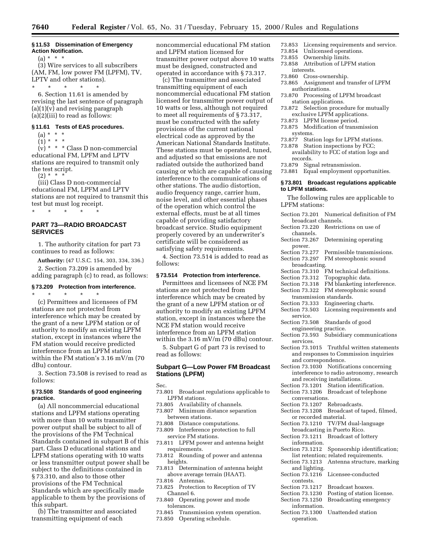#### **§ 11.53 Dissemination of Emergency Action Notification.**

 $(a) * * * *$ 

(3) Wire services to all subscribers (AM, FM, low power FM (LPFM), TV, LPTV and other stations).

\* \* \* \* \* 6. Section 11.61 is amended by revising the last sentence of paragraph (a)(1)(v) and revising paragraph (a)(2)(iii) to read as follows:

## **§ 11.61 Tests of EAS procedures.**

 $(a) * * * *$ 

 $(1) * * * *$ 

(v) \* \* \* Class D non-commercial educational FM, LPFM and LPTV stations are required to transmit only the test script.

(2) \* \* \*

(iii) Class D non-commercial educational FM, LPFM and LPTV stations are not required to transmit this test but must log receipt. \* \* \* \* \*

## **PART 73—RADIO BROADCAST SERVICES**

1. The authority citation for part 73 continues to read as follows:

**Authority:** (47 U.S.C. 154, 303, 334, 336.) 2. Section 73.209 is amended by adding paragraph (c) to read, as follows:

## **§ 73.209 Protection from interference.**

\* \* \* \* \*

(c) Permittees and licensees of FM stations are not protected from interference which may be created by the grant of a new LPFM station or of authority to modify an existing LPFM station, except in instances where the FM station would receive predicted interference from an LPFM station within the FM station's 3.16 mV/m (70 dBu) contour.

3. Section 73.508 is revised to read as follows:

## **§ 73.508 Standards of good engineering practice.**

(a) All noncommercial educational stations and LPFM stations operating with more than 10 watts transmitter power output shall be subject to all of the provisions of the FM Technical Standards contained in subpart B of this part. Class D educational stations and LPFM stations operating with 10 watts or less transmitter output power shall be subject to the definitions contained in § 73.310, and also to those other provisions of the FM Technical Standards which are specifically made applicable to them by the provisions of this subpart.

(b) The transmitter and associated transmitting equipment of each

noncommercial educational FM station and LPFM station licensed for transmitter power output above 10 watts must be designed, constructed and operated in accordance with § 73.317.

(c) The transmitter and associated transmitting equipment of each noncommercial educational FM station licensed for transmitter power output of 10 watts or less, although not required to meet all requirements of § 73.317, must be constructed with the safety provisions of the current national electrical code as approved by the American National Standards Institute. These stations must be operated, tuned, and adjusted so that emissions are not radiated outside the authorized band causing or which are capable of causing interference to the communications of other stations. The audio distortion, audio frequency range, carrier hum, noise level, and other essential phases of the operation which control the external effects, must be at all times capable of providing satisfactory broadcast service. Studio equipment properly covered by an underwriter's certificate will be considered as satisfying safety requirements.

4. Section 73.514 is added to read as follows:

## **§ 73.514 Protection from interference.**

Permittees and licensees of NCE FM stations are not protected from interference which may be created by the grant of a new LPFM station or of authority to modify an existing LPFM station, except in instances where the NCE FM station would receive interference from an LPFM station within the  $3.16 \text{ mV/m}$  (70 dBu) contour.

5. Subpart G of part 73 is revised to read as follows:

## **Subpart G—Low Power FM Broadcast Stations (LPFM)**

Sec.

- 73.801 Broadcast regulations applicable to LPFM stations.
- 73.805 Availability of channels.
- 73.807 Minimum distance separation between stations.
- 73.808 Distance computations.
- 73.809 Interference protection to full service FM stations.
- 73.811 LPFM power and antenna height requirements.
- 73.812 Rounding of power and antenna heights.
- 73.813 Determination of antenna height above average terrain (HAAT).
- 73.816 Antennas.<br>73.825 Protection
- Protection to Reception of TV Channel 6.
- 73.840 Operating power and mode tolerances.
- 73.845 Transmission system operation.
- 73.850 Operating schedule.
- 73.853 Licensing requirements and service.
- 73.854 Unlicensed operations.
- 73.855 Ownership limits.
- Attribution of LPFM station interests.
- 73.860 Cross-ownership.
- 73.865 Assignment and transfer of LPFM authorizations.
- 73.870 Processing of LPFM broadcast station applications.
- 73.872 Selection procedure for mutually exclusive LPFM applications.
- 73.873 LPFM license period.
- 73.875 Modification of transmission systems.
- 73.877 Station logs for LPFM stations.
- 73.878 Station inspections by FCC; availability to FCC of station logs and records.
- 73.879 Signal retransmission.
- 73.881 Equal employment opportunities.

## **§ 73.801 Broadcast regulations applicable to LPFM stations.**

The following rules are applicable to LPFM stations: Section 73.201 Numerical definition of FM

| broadcast channels.                            |
|------------------------------------------------|
| Section 73.220<br>Restrictions on use of       |
| channels.                                      |
| Section 73.267<br>Determining operating        |
| power.                                         |
| Section 73.277<br>Permissible transmissions.   |
| Section 73.297<br>FM stereophonic sound        |
| broadcasting.                                  |
| Section 73.310<br>FM technical definitions.    |
| Section 73.312<br>Topographic data.            |
| FM blanketing interference.<br>Section 73.318  |
| Section 73.322<br>FM stereophonic sound        |
| transmission standards.                        |
| Engineering charts.<br>Section 73.333          |
| Section 73.503<br>Licensing requirements and   |
| service.                                       |
| Section 73.508                                 |
| Standards of good                              |
| engineering practice.                          |
| Subsidiary communications<br>Section 73.593    |
| services.                                      |
| Section 73.1015 Truthful written statements    |
| and responses to Commission inquiries          |
| and correspondence.                            |
| Section 73.1030<br>Notifications concerning    |
| interference to radio astronomy, research      |
| and receiving installations.                   |
| Section 73.1201 Station identification.        |
| Section 73.1206 Broadcast of telephone         |
| conversations.                                 |
| Section 73.1207 Rebroadcasts.                  |
| Broadcast of taped, filmed,<br>Section 73.1208 |
| or recorded material.                          |
| TV/FM dual-language<br>Section 73.1210         |
| broadcasting in Puerto Rico.                   |
|                                                |
| Section 73.1211<br>Broadcast of lottery        |
| information.                                   |
| Sponsorship identification;<br>Section 73.1212 |
| list retention; related requirements.          |
| Section 73.1213<br>Antenna structure, marking  |
| and lighting.                                  |
| Section 73.1216<br>Licensee-conducted          |
| contests.                                      |
| Section 73.1217<br>Broadcast hoaxes.           |
| Posting of station license.<br>Section 73.1230 |
| Section 73.1250<br>Broadcasting emergency      |
| information.                                   |
| Unattended station<br>Section 73.1300          |
| operation.                                     |
|                                                |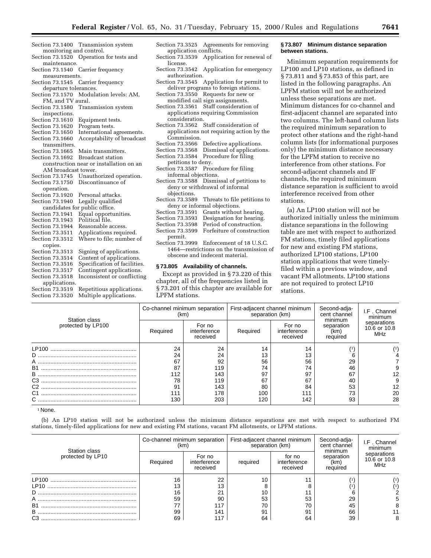- Section 73.1400 Transmission system monitoring and control. Section 73.1520 Operation for tests and maintenance. Section 73.1540 Carrier frequency measurements. Section 73.1545 Carrier frequency departure tolerances. Section 73.1570 Modulation levels: AM, FM, and TV aural. Section 73.1580 Transmission system inspections.<br>Section 73.1610 Equipment tests.<br>Program tests. Section 73.1620<br>Section 73.1650 International agreements. Section 73.1660 Acceptability of broadcast transmitters. Section 73.1665 Main transmitters.<br>Section 73.1692 Broadcast station Broadcast station construction near or installation on an AM broadcast tower.<br>Section 73.1745 Unauth Unauthorized operation. Section 73.1750 Discontinuance of operation. Section 73.1920 Personal attacks. Section 73.1940 Legally qualified candidates for public office.<br>Section 73.1941 Equal opportu Section 73.1941 Equal opportunities.<br>Section 73.1943 Political file. Political file. Section 73.1944 Reasonable access.<br>Section 73.3511 Applications requi Applications required. Section 73.3512 Where to file; number of copies.<br>Section 73.3513 Signing of applications. Section 73.3514 Content of applications.<br>Section 73.3516 Specification of facilities Section 73.3516 Specification of facilities.<br>Section 73.3517 Contingent applications. Contingent applications. Section 73.3518 Inconsistent or conflicting applications. Section 73.3519 Repetitious applications. Section 73.3520 Multiple applications.
- Section 73.3525 Agreements for removing application conflicts.<br>Section 73.3539 Applica Application for renewal of license. Section 73.3542 Application for emergency authorization. Section 73.3545 Application for permit to deliver programs to foreign stations. Section 73.3550 Requests for new or modified call sign assignments. Section 73.3561 Staff consideration of applications requiring Commission consideration.
- Section 73.3562 Staff consideration of applications not requiring action by the Commission. Section 73.3566 Defective applications.<br>Section 73.3568 Dismissal of applicatio Section 73.3568 Dismissal of applications.<br>Section 73.3584 Procedure for filing Procedure for filing petitions to deny. Section 73.3587 Procedure for filing informal objections. Section 73.3588 Dismissal of petitions to deny or withdrawal of informal objections.<br>Section 73.3589 Threats to file petitions to deny or informal objections.<br>Section 73.3591 Grants without Grants without hearing. Section 73.3593 Designation for hearing.<br>Section 73.3598 Period of construction. Period of construction. Section 73.3599 Forfeiture of construction permit. Section 73.3999 Enforcement of 18 U.S.C.
- 1464—restrictions on the transmission of obscene and indecent material.

## **§ 73.805 Availability of channels.**

Except as provided in § 73.220 of this chapter, all of the frequencies listed in § 73.201 of this chapter are available for LPFM stations.

#### **§ 73.807 Minimum distance separation between stations.**

Minimum separation requirements for LP100 and LP10 stations, as defined in § 73.811 and § 73.853 of this part, are listed in the following paragraphs. An LPFM station will not be authorized unless these separations are met. Minimum distances for co-channel and first-adjacent channel are separated into two columns. The left-hand column lists the required minimum separation to protect other stations and the right-hand column lists (for informational purposes only) the minimum distance necessary for the LPFM station to receive no interference from other stations. For second-adjacent channels and IF channels, the required minimum distance separation is sufficient to avoid interference received from other stations.

(a) An LP100 station will not be authorized initially unless the minimum distance separations in the following table are met with respect to authorized FM stations, timely filed applications for new and existing FM stations, authorized LP100 stations, LP100 station applications that were timelyfiled within a previous window, and vacant FM allotments. LP100 stations are not required to protect LP10 stations.

| Station class      | Co-channel minimum separation<br>(km) |                                    | separation (km) | First-adjacent channel minimum     | Second-adja-<br>cent channel              | I.F. Channel<br>minimum                   |  |
|--------------------|---------------------------------------|------------------------------------|-----------------|------------------------------------|-------------------------------------------|-------------------------------------------|--|
| protected by LP100 | Required                              | For no<br>interference<br>received | Required        | For no<br>interference<br>received | minimum<br>separation<br>(km)<br>required | separations<br>10.6 or 10.8<br><b>MHz</b> |  |
|                    | 24                                    | 24                                 | 14              | 14                                 |                                           |                                           |  |
| D                  | 24                                    | 24                                 | 13              | 13                                 |                                           |                                           |  |
| A                  | 67                                    | 92                                 | 56              | 56                                 | 29                                        |                                           |  |
| <b>B1</b>          | 87                                    | 119                                | 74              | 74                                 | 46                                        |                                           |  |
| B                  | 112                                   | 143                                | 97              | 97                                 | 67                                        |                                           |  |
| C <sub>3</sub>     | 78                                    | 119                                | 67              | 67                                 | 40                                        |                                           |  |
| $C2$ .             | 91                                    | 143                                | 80              | 84                                 | 53                                        | 12                                        |  |
| C <sub>1</sub>     | 11                                    | 178                                | 100             | 111                                | 73                                        | 20                                        |  |
|                    | 130                                   | 203                                | 120             | 142                                | 93                                        | 28                                        |  |

<sup>1</sup> None.

(b) An LP10 station will not be authorized unless the minimum distance separations are met with respect to authorized FM stations, timely-filed applications for new and existing FM stations, vacant FM allotments, or LPFM stations.

| Station class     | Co-channel minimum separation<br>(km) |                                    | First-adjacent channel minimum<br>separation (km) |                                    | Second-adja-<br>cent channel<br>minimum | I.F. Channel<br>minimum                   |  |
|-------------------|---------------------------------------|------------------------------------|---------------------------------------------------|------------------------------------|-----------------------------------------|-------------------------------------------|--|
| protected by LP10 | Required                              | For no<br>interference<br>received | required                                          | for no<br>interference<br>received | separation<br>(km)<br>required          | separations<br>10.6 or 10.8<br><b>MHz</b> |  |
|                   | 16                                    | 22                                 |                                                   | 44                                 |                                         |                                           |  |
| I P <sub>10</sub> | 13                                    |                                    |                                                   |                                    |                                         |                                           |  |
| D                 | 16                                    | 21                                 |                                                   |                                    |                                         |                                           |  |
| $\mathsf{A}$      | 59                                    | 90                                 | 53                                                | 53                                 | 29                                      |                                           |  |
| B <sub>1</sub>    |                                       | 117                                | 70                                                | 70                                 | 45                                      |                                           |  |
| B                 | 99                                    | 141                                | 91                                                | 91                                 | 66                                      |                                           |  |
| C <sub>3</sub>    | 69                                    |                                    | 64                                                | 64                                 | 39                                      |                                           |  |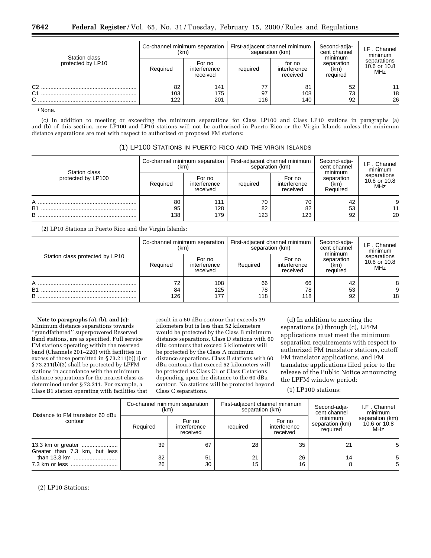| Station class<br>protected by LP10         | (km)             | Co-channel minimum separation      |           | First-adjacent channel minimum<br>separation (km) | Second-adja-<br>cent channel<br>minimum | I.F. Channel<br>minimum            |
|--------------------------------------------|------------------|------------------------------------|-----------|---------------------------------------------------|-----------------------------------------|------------------------------------|
|                                            | Required         | For no<br>interference<br>received | required  | for no<br>interference<br>received                | separation<br>(km)<br>required          | separations<br>10.6 or 10.8<br>MHz |
| C <sub>2</sub><br>C <sub>1</sub><br>⌒<br>ັ | 82<br>103<br>122 | 141<br>175<br>201                  | 97<br>116 | 81<br>108<br>140                                  | 52<br>73<br>92                          | 11<br>18<br>26                     |

1 None.

(c) In addition to meeting or exceeding the minimum separations for Class LP100 and Class LP10 stations in paragraphs (a) and (b) of this section, new LP100 and LP10 stations will not be authorized in Puerto Rico or the Virgin Islands unless the minimum distance separations are met with respect to authorized or proposed FM stations:

|  |  |  | (1) LP100 STATIONS IN PUERTO RICO AND THE VIRGIN ISLANDS |  |  |  |  |
|--|--|--|----------------------------------------------------------|--|--|--|--|
|--|--|--|----------------------------------------------------------|--|--|--|--|

| Station class<br>protected by LP100 | Co-channel minimum separation<br>(km) |                                    | First-adjacent channel minimum<br>separation (km) |                                    | Second-adja-<br>cent channel<br>minimum | I.F. Channel<br>minimum            |
|-------------------------------------|---------------------------------------|------------------------------------|---------------------------------------------------|------------------------------------|-----------------------------------------|------------------------------------|
|                                     | Required                              | For no<br>interference<br>received | required                                          | For no<br>interference<br>received | separation<br>(km)<br>Required          | separations<br>10.6 or 10.8<br>MHz |
| A<br><b>B1</b><br>B                 | 80<br>95<br>138                       | 111<br>128<br>179                  | 70<br>82<br>123                                   | 70<br>82<br>123                    | 42<br>53<br>92                          | 11<br>20                           |

(2) LP10 Stations in Puerto Rico and the Virgin Islands:

| Station class protected by LP10 | (km)            | Co-channel minimum separation      | First-adjacent channel minimum<br>separation (km) |                                    | Second-adja-<br>cent channel<br>minimum | I.F. Channel<br>minimum                   |
|---------------------------------|-----------------|------------------------------------|---------------------------------------------------|------------------------------------|-----------------------------------------|-------------------------------------------|
|                                 | Required        | For no<br>interference<br>received | Required                                          | For no<br>interference<br>received | separation<br>(km)<br>required          | separations<br>10.6 or 10.8<br><b>MHz</b> |
| A<br><b>B1</b><br>в             | 72<br>84<br>126 | 108<br>125<br>177                  | 66<br>78<br>118                                   | 66<br>78<br>118                    | 42<br>53<br>92                          | 18                                        |

**Note to paragraphs (a), (b), and (c):** Minimum distance separations towards ''grandfathered'' superpowered Reserved Band stations, are as specified. Full service FM stations operating within the reserved band (Channels 201–220) with facilities in excess of those permitted in § 73.211(b)(1) or § 73.211(b)(3) shall be protected by LPFM stations in accordance with the minimum distance separations for the nearest class as determined under § 73.211. For example, a Class B1 station operating with facilities that

result in a 60 dBu contour that exceeds 39 kilometers but is less than 52 kilometers would be protected by the Class B minimum distance separations. Class D stations with 60 dBu contours that exceed 5 kilometers will be protected by the Class A minimum distance separations. Class B stations with 60 dBu contours that exceed 52 kilometers will be protected as Class C1 or Class C stations depending upon the distance to the 60 dBu contour. No stations will be protected beyond Class C separations.

(d) In addition to meeting the separations (a) through (c), LPFM applications must meet the minimum separation requirements with respect to authorized FM translator stations, cutoff FM translator applications, and FM translator applications filed prior to the release of the Public Notice announcing the LPFM window period:

(1) LP100 stations:

| Distance to FM translator 60 dBu<br>contour   | Co-channel minimum separation<br>(km) |                                    |          | First-adjacent channel minimum<br>separation (km) | Second-adja-<br>cent channel           | I.F. Channel<br>minimum                |  |
|-----------------------------------------------|---------------------------------------|------------------------------------|----------|---------------------------------------------------|----------------------------------------|----------------------------------------|--|
|                                               | Required                              | For no<br>interference<br>received | required | For no<br>interference<br>received                | minimum<br>separation (km)<br>required | separation (km)<br>10.6 or 10.8<br>MHz |  |
| Greater than 7.3 km, but less<br>than 13.3 km | 39<br>32                              | 67<br>51                           | 28<br>21 | 35<br>26                                          | 21<br>14                               | 5<br>5                                 |  |
|                                               | 26                                    | 30                                 | 15       | 16                                                |                                        |                                        |  |

(2) LP10 Stations: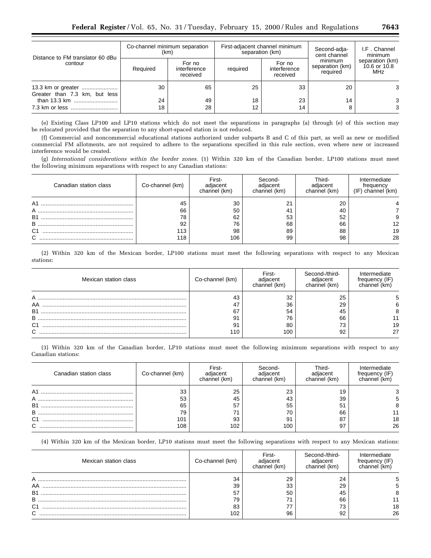| Distance to FM translator 60 dBu<br>contour   | Co-channel minimum separation<br>(km) |                                    |          | First-adjacent channel minimum<br>separation (km) | Second-adja-<br>cent channel           | I.F. Channel<br>minimum                |  |
|-----------------------------------------------|---------------------------------------|------------------------------------|----------|---------------------------------------------------|----------------------------------------|----------------------------------------|--|
|                                               | Required                              | For no<br>interference<br>received | required | For no<br>interference<br>received                | minimum<br>separation (km)<br>required | separation (km)<br>10.6 or 10.8<br>MHz |  |
| Greater than 7.3 km, but less<br>than 13.3 km | 30<br>24                              | 65<br>49                           | 25<br>18 | 33<br>23                                          | 20<br>14                               | 3<br>3                                 |  |
|                                               | 18                                    | 28                                 | 12       | 14                                                |                                        | 3                                      |  |

(e) Existing Class LP100 and LP10 stations which do not meet the separations in paragraphs (a) through (e) of this section may be relocated provided that the separation to any short-spaced station is not reduced.

(f) Commercial and noncommercial educational stations authorized under subparts B and C of this part, as well as new or modified commercial FM allotments, are not required to adhere to the separations specified in this rule section, even where new or increased interference would be created.

(g) *International considerations within the border zones.* (1) Within 320 km of the Canadian border, LP100 stations must meet the following minimum separations with respect to any Canadian stations:

| Canadian station class | Co-channel (km) | First-<br>adjacent<br>channel (km) | Second-<br>adiacent<br>channel (km) | Third-<br>diacent<br>channel (km) | Intermediate<br>frequency<br>$(IF)$ channel $(km)$ |
|------------------------|-----------------|------------------------------------|-------------------------------------|-----------------------------------|----------------------------------------------------|
| A <sub>1</sub>         | 45              | 30                                 | n,                                  | 20                                |                                                    |
| $\mathsf{A}$           | 66              | 50                                 | 41                                  | 40                                |                                                    |
| <b>B1</b>              | 78              | 62                                 | 53                                  | 52                                |                                                    |
| в                      | 92              | 76                                 | 68                                  | 66                                | 12                                                 |
| C <sub>1</sub>         | 113             | 98                                 | 89                                  | 88                                | 19                                                 |
| $\sim$                 | 118             | 106                                | 99                                  | 98                                | 28                                                 |

(2) Within 320 km of the Mexican border, LP100 stations must meet the following separations with respect to any Mexican stations:

| Mexican station class    | Co-channel (km) | First-<br>channel (km) | Second-/third-<br>nacem<br>channel (km) | Intermediate<br>frequency (IF<br>channel (km <sup>)</sup> |
|--------------------------|-----------------|------------------------|-----------------------------------------|-----------------------------------------------------------|
| AA<br><b>B1</b><br>B     | 91              | 32<br>36<br>54<br>76   | 25<br>29<br>45<br>66                    |                                                           |
| C <sub>1</sub><br>$\sim$ | 91<br>110       | 80<br>100              | 73<br>92                                | 19<br>27                                                  |

(3) Within 320 km of the Canadian border, LP10 stations must meet the following minimum separations with respect to any Canadian stations:

| Canadian station class | Co-channel (km) | First-<br>adiacent<br>channel (km) | Second-<br>adiacent<br>channel (km) | Third-<br>diacent<br>channel (km) | Intermediate<br>trequency (IF)<br>channel (km) |
|------------------------|-----------------|------------------------------------|-------------------------------------|-----------------------------------|------------------------------------------------|
| A1                     | 33              | 25                                 | 23                                  | 19                                |                                                |
| $\mathsf{A}$           | 53              | 45                                 | 43                                  | 39                                |                                                |
| <b>B1</b>              | 65              | 57                                 | 55                                  | 51                                |                                                |
| B                      | 79              |                                    | 70                                  | 66                                |                                                |
| C <sub>1</sub>         | 101             | 93                                 | 91                                  | 87                                | 18                                             |
| ⌒                      | 108             | 102                                | 100                                 | 97                                | 26                                             |

(4) Within 320 km of the Mexican border, LP10 stations must meet the following separations with respect to any Mexican stations:

| Mexican station class    | Co-channel (km)      | First-         | Second-/third-<br>channel (km) | mediate<br>rreauencv<br>ınnel |
|--------------------------|----------------------|----------------|--------------------------------|-------------------------------|
| AA<br><b>B1</b><br>B     | 34<br>39<br>57<br>79 | 29<br>33<br>50 | 24<br>29<br>45<br>66           |                               |
| C <sub>1</sub><br>$\sim$ | 83<br>102            | 96             | 73<br>92                       | 18<br>26                      |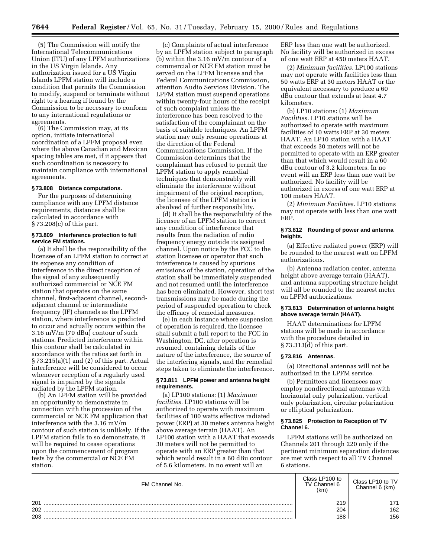(5) The Commission will notify the International Telecommunications Union (ITU) of any LPFM authorizations in the US Virgin Islands. Any authorization issued for a US Virgin Islands LPFM station will include a condition that permits the Commission to modify, suspend or terminate without right to a hearing if found by the Commission to be necessary to conform to any international regulations or agreements.

(6) The Commission may, at its option, initiate international coordination of a LPFM proposal even where the above Canadian and Mexican spacing tables are met, if it appears that such coordination is necessary to maintain compliance with international agreements.

#### **§ 73.808 Distance computations.**

For the purposes of determining compliance with any LPFM distance requirements, distances shall be calculated in accordance with § 73.208(c) of this part.

## **§ 73.809 Interference protection to full service FM stations.**

(a) It shall be the responsibility of the licensee of an LPFM station to correct at its expense any condition of interference to the direct reception of the signal of any subsequently authorized commercial or NCE FM station that operates on the same channel, first-adjacent channel, secondadjacent channel or intermediate frequency (IF) channels as the LPFM station, where interference is predicted to occur and actually occurs within the 3.16 mV/m (70 dBu) contour of such stations. Predicted interference within this contour shall be calculated in accordance with the ratios set forth in § 73.215(a)(1) and (2) of this part. Actual interference will be considered to occur whenever reception of a regularly used signal is impaired by the signals radiated by the LPFM station.

(b) An LPFM station will be provided an opportunity to demonstrate in connection with the procession of the commercial or NCE FM application that interference with the 3.16 mV/m contour of such station is unlikely. If the LPFM station fails to so demonstrate, it will be required to cease operations upon the commencement of program tests by the commercial or NCE FM station.

(c) Complaints of actual interference by an LPFM station subject to paragraph (b) within the 3.16 mV/m contour of a commercial or NCE FM station must be served on the LPFM licensee and the Federal Communications Commission, attention Audio Services Division. The LPFM station must suspend operations within twenty-four hours of the receipt of such complaint unless the interference has been resolved to the satisfaction of the complainant on the basis of suitable techniques. An LPFM station may only resume operations at the direction of the Federal Communications Commission. If the Commission determines that the complainant has refused to permit the LPFM station to apply remedial techniques that demonstrably will eliminate the interference without impairment of the original reception, the licensee of the LPFM station is absolved of further responsibility.

(d) It shall be the responsibility of the licensee of an LPFM station to correct any condition of interference that results from the radiation of radio frequency energy outside its assigned channel. Upon notice by the FCC to the station licensee or operator that such interference is caused by spurious emissions of the station, operation of the station shall be immediately suspended and not resumed until the interference has been eliminated. However, short test transmissions may be made during the period of suspended operation to check the efficacy of remedial measures.

(e) In each instance where suspension of operation is required, the licensee shall submit a full report to the FCC in Washington, DC, after operation is resumed, containing details of the nature of the interference, the source of the interfering signals, and the remedial steps taken to eliminate the interference.

#### **§ 73.811 LPFM power and antenna height requirements.**

(a) LP100 stations: (1) *Maximum facilities.* LP100 stations will be authorized to operate with maximum facilities of 100 watts effective radiated power (ERP) at 30 meters antenna height above average terrain (HAAT). An LP100 station with a HAAT that exceeds 30 meters will not be permitted to operate with an ERP greater than that which would result in a 60 dBu contour of 5.6 kilometers. In no event will an

ERP less than one watt be authorized. No facility will be authorized in excess of one watt ERP at 450 meters HAAT.

(2) *Minimum facilities.* LP100 stations may not operate with facilities less than 50 watts ERP at 30 meters HAAT or the equivalent necessary to produce a 60 dBu contour that extends at least 4.7 kilometers.

(b) LP10 stations: (1) *Maximum Facilities.* LP10 stations will be authorized to operate with maximum facilities of 10 watts ERP at 30 meters HAAT. An LP10 station with a HAAT that exceeds 30 meters will not be permitted to operate with an ERP greater than that which would result in a 60 dBu contour of 3.2 kilometers. In no event will an ERP less than one watt be authorized. No facility will be authorized in excess of one watt ERP at 100 meters HAAT.

(2) *Minimum Facilities.* LP10 stations may not operate with less than one watt ERP.

#### **§ 73.812 Rounding of power and antenna heights.**

(a) Effective radiated power (ERP) will be rounded to the nearest watt on LPFM authorizations.

(b) Antenna radiation center, antenna height above average terrain (HAAT), and antenna supporting structure height will all be rounded to the nearest meter on LPFM authorizations.

## **§ 73.813 Determination of antenna height above average terrain (HAAT).**

HAAT determinations for LPFM stations will be made in accordance with the procedure detailed in § 73.313(d) of this part.

## **§ 73.816 Antennas.**

(a) Directional antennas will not be authorized in the LPFM service.

(b) Permittees and licensees may employ nondirectional antennas with horizontal only polarization, vertical only polarization, circular polarization or elliptical polarization.

## **§ 73.825 Protection to Reception of TV Channel 6.**

LPFM stations will be authorized on Channels 201 through 220 only if the pertinent minimum separation distances are met with respect to all TV Channel 6 stations.

| FM Channel No. | Class LP100 to<br>TV Channel 6<br>(km) | Class LP10 to TV<br>Channel 6 (km) |
|----------------|----------------------------------------|------------------------------------|
| 201            | 219                                    | 171                                |
| 202            | 204                                    | 162                                |
| 203            | 188                                    | 156                                |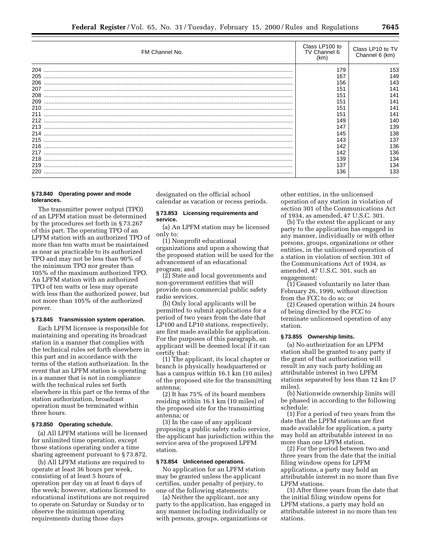|     | FM Channel No. | Class LP100 to<br>TV Channel 6<br>(km) | Class LP10 to TV<br>Channel 6 (km) |
|-----|----------------|----------------------------------------|------------------------------------|
| 204 |                | 179                                    | 153                                |
| 205 |                | 167                                    | 149                                |
| 206 |                | 156                                    | 143                                |
| 207 |                | 151                                    | 141                                |
| 208 |                | 151                                    | 141                                |
| 209 |                | 151                                    | 141                                |
| 210 |                | 151                                    | 141                                |
| 211 |                | 151                                    | 141                                |
|     |                | 149                                    | 140                                |
| 213 |                | 147                                    | 139                                |
| 214 |                | 145                                    | 138                                |
| 215 |                | 143                                    | 137                                |
| 216 |                | 142                                    | 136                                |
| 217 |                | 142                                    | 136                                |
| 218 |                | 139                                    | 134                                |
| 219 |                | 137                                    | 134                                |
| 220 |                | 136                                    | 133                                |

## **§ 73.840 Operating power and mode tolerances.**

The transmitter power output (TPO) of an LPFM station must be determined by the procedures set forth in § 73.267 of this part. The operating TPO of an LPFM station with an authorized TPO of more than ten watts must be maintained as near as practicable to its authorized TPO and may not be less than 90% of the minimum TPO nor greater than 105% of the maximum authorized TPO. An LPFM station with an authorized TPO of ten watts or less may operate with less than the authorized power, but not more than 105% of the authorized power.

#### **§ 73.845 Transmission system operation.**

Each LPFM licensee is responsible for maintaining and operating its broadcast station in a manner that complies with the technical rules set forth elsewhere in this part and in accordance with the terms of the station authorization. In the event that an LPFM station is operating in a manner that is not in compliance with the technical rules set forth elsewhere in this part or the terms of the station authorization, broadcast operation must be terminated within three hours.

## **§ 73.850 Operating schedule.**

(a) All LPFM stations will be licensed for unlimited time operation, except those stations operating under a time sharing agreement pursuant to § 73.872.

(b) All LPFM stations are required to operate at least 36 hours per week, consisting of at least 5 hours of operation per day on at least 6 days of the week; however, stations licensed to educational institutions are not required to operate on Saturday or Sunday or to observe the minimum operating requirements during those days

designated on the official school calendar as vacation or recess periods.

#### **§ 73.853 Licensing requirements and service.**

(a) An LPFM station may be licensed only to:

(1) Nonprofit educational organizations and upon a showing that the proposed station will be used for the advancement of an educational program; and

(2) State and local governments and non-government entities that will provide non-commercial public safety radio services.

(b) Only local applicants will be permitted to submit applications for a period of two years from the date that LP100 and LP10 stations, respectively, are first made available for application. For the purposes of this paragraph, an applicant will be deemed local if it can certify that:

(1) The applicant, its local chapter or branch is physically headquartered or has a campus within 16.1 km (10 miles) of the proposed site for the transmitting antenna;

(2) It has 75% of its board members residing within 16.1 km (10 miles) of the proposed site for the transmitting antenna; or

(3) In the case of any applicant proposing a public safety radio service, the applicant has jurisdiction within the service area of the proposed LPFM station.

## **§ 73.854 Unlicensed operations.**

No application for an LPFM station may be granted unless the applicant certifies, under penalty of perjury, to one of the following statements:

(a) Neither the applicant, nor any party to the application, has engaged in any manner including individually or with persons, groups, organizations or

other entities, in the unlicensed operation of any station in violation of section 301 of the Communications Act of 1934, as amended, 47 U.S.C. 301.

(b) To the extent the applicant or any party to the application has engaged in any manner, individually or with other persons, groups, organizations or other entities, in the unlicensed operation of a station in violation of section 301 of the Communications Act of 1934, as amended, 47 U.S.C. 301, such an engagement:

(1) Ceased voluntarily no later than February 26, 1999, without direction from the FCC to do so; or

(2) Ceased operation within 24 hours of being directed by the FCC to terminate unlicensed operation of any station.

## **§ 73.855 Ownership limits.**

(a) No authorization for an LPFM station shall be granted to any party if the grant of that authorization will result in any such party holding an attributable interest in two LPFM stations separated by less than 12 km (7 miles).

(b) Nationwide ownership limits will be phased in according to the following schedule:

(1) For a period of two years from the date that the LPFM stations are first made available for application, a party may hold an attributable interest in no more than one LPFM station.

(2) For the period between two and three years from the date that the initial filing window opens for LPFM applications, a party may hold an attributable interest in no more than five LPFM stations.

(3) After three years from the date that the initial filing window opens for LPFM stations, a party may hold an attributable interest in no more than ten stations.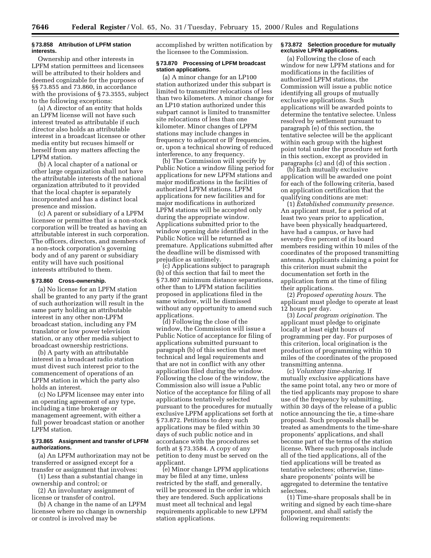## **§ 73.858 Attribution of LPFM station interests.**

Ownership and other interests in LPFM station permittees and licensees will be attributed to their holders and deemed cognizable for the purposes of §§ 73.855 and 73.860, in accordance with the provisions of § 73.3555, subject to the following exceptions:

(a) A director of an entity that holds an LPFM license will not have such interest treated as attributable if such director also holds an attributable interest in a broadcast licensee or other media entity but recuses himself or herself from any matters affecting the LPFM station.

(b) A local chapter of a national or other large organization shall not have the attributable interests of the national organization attributed to it provided that the local chapter is separately incorporated and has a distinct local presence and mission.

(c) A parent or subsidiary of a LPFM licensee or permittee that is a non-stock corporation will be treated as having an attributable interest in such corporation. The officers, directors, and members of a non-stock corporation's governing body and of any parent or subsidiary entity will have such positional interests attributed to them.

## **§ 73.860 Cross-ownership.**

(a) No license for an LPFM station shall be granted to any party if the grant of such authorization will result in the same party holding an attributable interest in any other non-LPFM broadcast station, including any FM translator or low power television station, or any other media subject to broadcast ownership restrictions.

(b) A party with an attributable interest in a broadcast radio station must divest such interest prior to the commencement of operations of an LPFM station in which the party also holds an interest.

(c) No LPFM licensee may enter into an operating agreement of any type, including a time brokerage or management agreement, with either a full power broadcast station or another LPFM station.

## **§ 73.865 Assignment and transfer of LPFM authorizations.**

(a) An LPFM authorization may not be transferred or assigned except for a transfer or assignment that involves:

(1) Less than a substantial change in ownership and control; or

(2) An involuntary assignment of license or transfer of control.

(b) A change in the name of an LPFM licensee where no change in ownership or control is involved may be

accomplished by written notification by the licensee to the Commission.

## **§ 73.870 Processing of LPFM broadcast station applications.**

(a) A minor change for an LP100 station authorized under this subpart is limited to transmitter relocations of less than two kilometers. A minor change for an LP10 station authorized under this subpart cannot is limited to transmitter site relocations of less than one kilometer. Minor changes of LPFM stations may include changes in frequency to adjacent or IF frequencies, or, upon a technical showing of reduced interference, to any frequency.

(b) The Commission will specify by Public Notice a window filing period for applications for new LPFM stations and major modifications in the facilities of authorized LPFM stations. LPFM applications for new facilities and for major modifications in authorized LPFM stations will be accepted only during the appropriate window. Applications submitted prior to the window opening date identified in the Public Notice will be returned as premature. Applications submitted after the deadline will be dismissed with prejudice as untimely.

(c) Applications subject to paragraph (b) of this section that fail to meet the § 73.807 minimum distance separations, other than to LPFM station facilities proposed in applications filed in the same window, will be dismissed without any opportunity to amend such applications.

(d) Following the close of the window, the Commission will issue a Public Notice of acceptance for filing of applications submitted pursuant to paragraph (b) of this section that meet technical and legal requirements and that are not in conflict with any other application filed during the window. Following the close of the window, the Commission also will issue a Public Notice of the acceptance for filing of all applications tentatively selected pursuant to the procedures for mutually exclusive LPFM applications set forth at § 73.872. Petitions to deny such applications may be filed within 30 days of such public notice and in accordance with the procedures set forth at  $\S 73.3584$ . A copy of any petition to deny must be served on the applicant.

(e) Minor change LPFM applications may be filed at any time, unless restricted by the staff, and generally, will be processed in the order in which they are tendered. Such applications must meet all technical and legal requirements applicable to new LPFM station applications.

## **§ 73.872 Selection procedure for mutually exclusive LPFM applications.**

(a) Following the close of each window for new LPFM stations and for modifications in the facilities of authorized LPFM stations, the Commission will issue a public notice identifying all groups of mutually exclusive applications. Such applications will be awarded points to determine the tentative selectee. Unless resolved by settlement pursuant to paragraph (e) of this section, the tentative selectee will be the applicant within each group with the highest point total under the procedure set forth in this section, except as provided in paragraphs (c) and (d) of this section .

(b) Each mutually exclusive application will be awarded one point for each of the following criteria, based on application certification that the qualifying conditions are met:

(1) *Established community presence.* An applicant must, for a period of at least two years prior to application, have been physically headquartered, have had a campus, or have had seventy-five percent of its board members residing within 10 miles of the coordinates of the proposed transmitting antenna. Applicants claiming a point for this criterion must submit the documentation set forth in the application form at the time of filing their applications.

(2) *Proposed operating hours.* The applicant must pledge to operate at least 12 hours per day.

(3) *Local program origination.* The applicant must pledge to originate locally at least eight hours of programming per day. For purposes of this criterion, local origination is the production of programming within 10 miles of the coordinates of the proposed transmitting antenna.

(c) *Voluntary time-sharing.* If mutually exclusive applications have the same point total, any two or more of the tied applicants may propose to share use of the frequency by submitting, within 30 days of the release of a public notice announcing the tie, a time-share proposal. Such proposals shall be treated as amendments to the time-share proponents' applications, and shall become part of the terms of the station license. Where such proposals include all of the tied applications, all of the tied applications will be treated as tentative selectees; otherwise, timeshare proponents' points will be aggregated to determine the tentative selectees.

(1) Time-share proposals shall be in writing and signed by each time-share proponent, and shall satisfy the following requirements: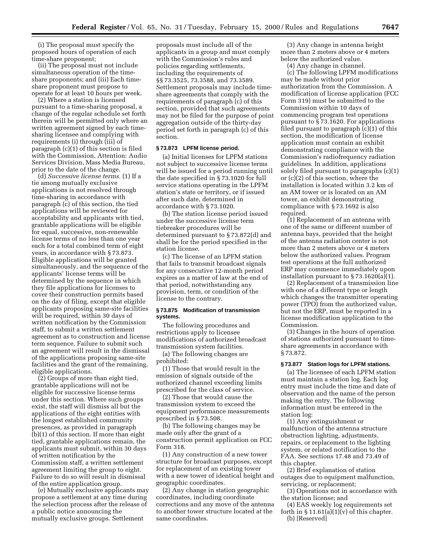(i) The proposal must specify the proposed hours of operation of each time-share proponent;

(ii) The proposal must not include simultaneous operation of the timeshare proponents; and (iii) Each timeshare proponent must propose to operate for at least 10 hours per week.

(2) Where a station is licensed pursuant to a time-sharing proposal, a change of the regular schedule set forth therein will be permitted only where an written agreement signed by each timesharing licensee and complying with requirements (i) through (iii) of paragraph (c)(1) of this section is filed with the Commission, Attention: Audio Services Division, Mass Media Bureau, prior to the date of the change.

(d) *Successive license terms.* (1) If a tie among mutually exclusive applications is not resolved through time-sharing in accordance with paragraph (c) of this section, the tied applications will be reviewed for acceptability and applicants with tied, grantable applications will be eligible for equal, successive, non-renewable license terms of no less than one year each for a total combined term of eight years, in accordance with § 73.873. Eligible applications will be granted simultaneously, and the sequence of the applicants' license terms will be determined by the sequence in which they file applications for licenses to cover their construction permits based on the day of filing, except that eligible applicants proposing same-site facilities will be required, within 30 days of written notification by the Commission staff, to submit a written settlement agreement as to construction and license term sequence. Failure to submit such an agreement will result in the dismissal of the applications proposing same-site facilities and the grant of the remaining, eligible applications.

(2) Groups of more than eight tied, grantable applications will not be eligible for successive license terms under this section. Where such groups exist, the staff will dismiss all but the applications of the eight entities with the longest established community presences, as provided in paragraph (b)(1) of this section. If more than eight tied, grantable applications remain, the applicants must submit, within 30 days of written notification by the Commission staff, a written settlement agreement limiting the group to eight. Failure to do so will result in dismissal of the entire application group.

(e) Mutually exclusive applicants may propose a settlement at any time during the selection process after the release of a public notice announcing the mutually exclusive groups. Settlement

proposals must include all of the applicants in a group and must comply with the Commission's rules and policies regarding settlements, including the requirements of §§ 73.3525, 73.3588, and 73.3589. Settlement proposals may include timeshare agreements that comply with the requirements of paragraph (c) of this section, provided that such agreements may not be filed for the purpose of point aggregation outside of the thirty-day period set forth in paragraph (c) of this section.

#### **§ 73.873 LPFM license period.**

(a) Initial licenses for LPFM stations not subject to successive license terms will be issued for a period running until the date specified in § 73.1020 for full service stations operating in the LPFM station's state or territory, or if issued after such date, determined in accordance with § 73.1020.

(b) The station license period issued under the successive license term tiebreaker procedures will be determined pursuant to § 73.872(d) and shall be for the period specified in the station license.

(c) The license of an LPFM station that fails to transmit broadcast signals for any consecutive 12-month period expires as a matter of law at the end of that period, notwithstanding any provision, term, or condition of the license to the contrary.

## **§ 73.875 Modification of transmission systems.**

The following procedures and restrictions apply to licensee modifications of authorized broadcast transmission system facilities.

(a) The following changes are prohibited:

(1) Those that would result in the emission of signals outside of the authorized channel exceeding limits prescribed for the class of service.

(2) Those that would cause the transmission system to exceed the equipment performance measurements prescribed in § 73.508.

(b) The following changes may be made only after the grant of a construction permit application on FCC Form 318.

(1) Any construction of a new tower structure for broadcast purposes, except for replacement of an existing tower with a new tower of identical height and geographic coordinates.

(2) Any change in station geographic coordinates, including coordinate corrections and any move of the antenna to another tower structure located at the same coordinates.

(3) Any change in antenna height more than 2 meters above or 4 meters below the authorized value.

(4) Any change in channel. (c) The following LPFM modifications may be made without prior authorization from the Commission. A modification of license application (FCC Form 319) must be submitted to the Commission within 10 days of commencing program test operations pursuant to § 73.1620. For applications filed pursuant to paragraph (c)(1) of this section, the modification of license application must contain an exhibit demonstrating compliance with the Commission's radiofrequency radiation guidelines. In addition, applications solely filed pursuant to paragraphs (c)(1) or (c)(2) of this section, where the installation is located within 3.2 km of an AM tower or is located on an AM

compliance with § 73.1692 is also required. (1) Replacement of an antenna with one of the same or different number of antenna bays, provided that the height of the antenna radiation center is not more than 2 meters above or 4 meters below the authorized values. Program test operations at the full authorized ERP may commence immediately upon

tower, an exhibit demonstrating

installation pursuant to § 73.1620(a)(1). (2) Replacement of a transmission line with one of a different type or length which changes the transmitter operating power (TPO) from the authorized value, but not the ERP, must be reported in a license modification application to the Commission.

(3) Changes in the hours of operation of stations authorized pursuant to timeshare agreements in accordance with § 73.872.

## **§ 73.877 Station logs for LPFM stations.**

(a) The licensee of each LPFM station must maintain a station log. Each log entry must include the time and date of observation and the name of the person making the entry. The following information must be entered in the station log:

(1) Any extinguishment or malfunction of the antenna structure obstruction lighting, adjustments, repairs, or replacement to the lighting system, or related notification to the FAA. See sections 17.48 and 73.49 of this chapter.

(2) Brief explanation of station outages due to equipment malfunction, servicing, or replacement;

(3) Operations not in accordance with the station license; and

(4) EAS weekly log requirements set forth in  $\S 11.61(a)(1)(v)$  of this chapter. (b) [Reserved]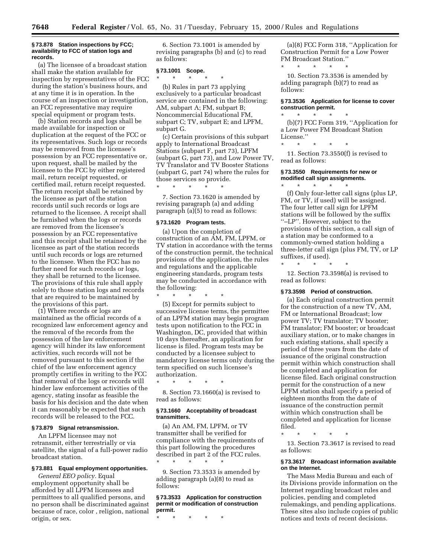## **§ 73.878 Station inspections by FCC; availability to FCC of station logs and records.**

(a) The licensee of a broadcast station shall make the station available for inspection by representatives of the FCC during the station's business hours, and at any time it is in operation. In the course of an inspection or investigation, an FCC representative may require special equipment or program tests.

(b) Station records and logs shall be made available for inspection or duplication at the request of the FCC or its representatives. Such logs or records may be removed from the licensee's possession by an FCC representative or, upon request, shall be mailed by the licensee to the FCC by either registered mail, return receipt requested, or certified mail, return receipt requested. The return receipt shall be retained by the licensee as part of the station records until such records or logs are returned to the licensee. A receipt shall be furnished when the logs or records are removed from the licensee's possession by an FCC representative and this receipt shall be retained by the licensee as part of the station records until such records or logs are returned to the licensee. When the FCC has no further need for such records or logs, they shall be returned to the licensee. The provisions of this rule shall apply solely to those station logs and records that are required to be maintained by the provisions of this part.

(1) Where records or logs are maintained as the official records of a recognized law enforcement agency and the removal of the records from the possession of the law enforcement agency will hinder its law enforcement activities, such records will not be removed pursuant to this section if the chief of the law enforcement agency promptly certifies in writing to the FCC that removal of the logs or records will hinder law enforcement activities of the agency, stating insofar as feasible the basis for his decision and the date when it can reasonably be expected that such records will be released to the FCC.

## **§ 73.879 Signal retransmission.**

An LPFM licensee may not retransmit, either terrestrially or via satellite, the signal of a full-power radio broadcast station.

## **§ 73.881 Equal employment opportunities.**

*General EEO policy.* Equal employment opportunity shall be afforded by all LPFM licensees and permittees to all qualified persons, and no person shall be discriminated against because of race, color , religion, national origin, or sex.

6. Section 73.1001 is amended by revising paragraphs (b) and (c) to read as follows:

## **§ 73.1001 Scope.** \* \* \* \* \*

(b) Rules in part 73 applying exclusively to a particular broadcast service are contained in the following: AM, subpart A; FM, subpart B; Noncommercial Educational FM, subpart C; TV, subpart E; and LPFM, subpart G.

(c) Certain provisions of this subpart apply to International Broadcast Stations (subpart F, part 73), LPFM (subpart G, part 73), and Low Power TV, TV Translator and TV Booster Stations (subpart G, part 74) where the rules for those services so provide.

7. Section 73.1620 is amended by revising paragraph (a) and adding paragraph (a)(5) to read as follows:

#### **§ 73.1620 Program tests.**

\* \* \* \* \*

(a) Upon the completion of construction of an AM, FM, LPFM, or TV station in accordance with the terms of the construction permit, the technical provisions of the application, the rules and regulations and the applicable engineering standards, program tests may be conducted in accordance with the following:

\* \* \* \* \*

(5) Except for permits subject to successive license terms, the permittee of an LPFM station may begin program tests upon notification to the FCC in Washington, DC, provided that within 10 days thereafter, an application for license is filed. Program tests may be conducted by a licensee subject to mandatory license terms only during the term specified on such licensee's authorization.

\* \* \* \* \* 8. Section 73.1660(a) is revised to read as follows:

## **§ 73.1660 Acceptability of broadcast transmitters.**

(a) An AM, FM, LPFM, or TV transmitter shall be verified for compliance with the requirements of this part following the procedures described in part 2 of the FCC rules. \* \* \* \* \*

9. Section 73.3533 is amended by adding paragraph (a)(8) to read as follows:

## **§ 73.3533 Application for construction permit or modification of construction permit.**

\* \* \* \* \*

(a)(8) FCC Form 318, ''Application for Construction Permit for a Low Power FM Broadcast Station.''

\* \* \* \* \* 10. Section 73.3536 is amended by adding paragraph (b)(7) to read as follows:

## **§ 73.3536 Application for license to cover construction permit.**

\* \* \* \* \*

(b)(7) FCC Form 319, ''Application for a Low Power FM Broadcast Station License.''

\* \* \* \* \* 11. Section 73.3550(f) is revised to read as follows:

## **§ 73.3550 Requirements for new or modified call sign assignments.**

\* \* \* \* \* (f) Only four-letter call signs (plus LP, FM, or TV, if used) will be assigned. The four letter call sign for LPFM stations will be followed by the suffix ''–LP''. However, subject to the provisions of this section, a call sign of a station may be conformed to a commonly-owned station holding a three-letter call sign (plus FM, TV, or LP suffixes, if used).

\* \* \* \* \*

12. Section 73.3598(a) is revised to read as follows:

## **§ 73.3598 Period of construction.**

(a) Each original construction permit for the construction of a new TV, AM, FM or International Broadcast; low power TV; TV translator; TV booster; FM translator; FM booster; or broadcast auxiliary station, or to make changes in such existing stations, shall specify a period of three years from the date of issuance of the original construction permit within which construction shall be completed and application for license filed. Each original construction permit for the construction of a new LPFM station shall specify a period of eighteen months from the date of issuance of the construction permit within which construction shall be completed and application for license filed.

\* \* \* \* \*

13. Section 73.3617 is revised to read as follows:

#### **§ 73.3617 Broadcast information available on the Internet.**

The Mass Media Bureau and each of its Divisions provide information on the Internet regarding broadcast rules and policies, pending and completed rulemakings, and pending applications. These sites also include copies of public notices and texts of recent decisions.